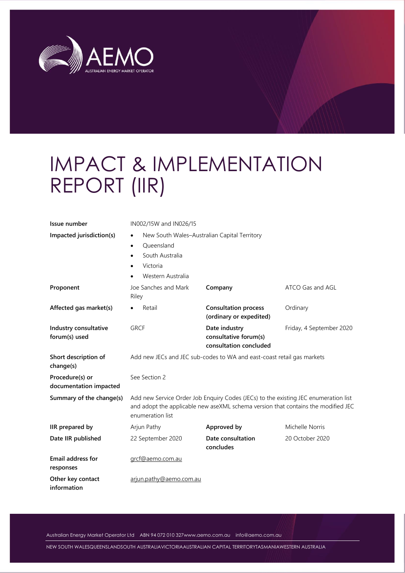

# IMPACT & IMPLEMENTATION REPORT (IIR)

| Issue number                              | IN002/15W and IN026/15                                                                                                                                                                       |                                                                        |                          |  |  |  |
|-------------------------------------------|----------------------------------------------------------------------------------------------------------------------------------------------------------------------------------------------|------------------------------------------------------------------------|--------------------------|--|--|--|
| Impacted jurisdiction(s)                  | New South Wales-Australian Capital Territory<br>٠<br>Queensland<br>$\bullet$<br>South Australia<br>$\bullet$<br>Victoria<br>٠<br>Western Australia                                           |                                                                        |                          |  |  |  |
| Proponent                                 | Joe Sanches and Mark<br>Riley                                                                                                                                                                | Company                                                                | ATCO Gas and AGL         |  |  |  |
| Affected gas market(s)                    | Retail                                                                                                                                                                                       | <b>Consultation process</b><br>(ordinary or expedited)                 | Ordinary                 |  |  |  |
| Industry consultative<br>forum(s) used    | <b>GRCF</b>                                                                                                                                                                                  | Date industry<br>consultative forum(s)<br>consultation concluded       | Friday, 4 September 2020 |  |  |  |
| Short description of<br>change(s)         |                                                                                                                                                                                              | Add new JECs and JEC sub-codes to WA and east-coast retail gas markets |                          |  |  |  |
| Procedure(s) or<br>documentation impacted | See Section 2                                                                                                                                                                                |                                                                        |                          |  |  |  |
| Summary of the change(s)                  | Add new Service Order Job Enquiry Codes (JECs) to the existing JEC enumeration list<br>and adopt the applicable new aseXML schema version that contains the modified JEC<br>enumeration list |                                                                        |                          |  |  |  |
| IIR prepared by                           | Arjun Pathy                                                                                                                                                                                  | Approved by                                                            | Michelle Norris          |  |  |  |
| Date IIR published                        | 22 September 2020                                                                                                                                                                            | Date consultation<br>concludes                                         | 20 October 2020          |  |  |  |
| <b>Email address for</b><br>responses     | grcf@aemo.com.au                                                                                                                                                                             |                                                                        |                          |  |  |  |
| Other key contact<br>information          | arjun.pathy@aemo.com.au                                                                                                                                                                      |                                                                        |                          |  |  |  |

Australian Energy Market Operator Ltd ABN 94 072 010 32[7www.aemo.com.au](http://www.aemo.com.au/) [info@aemo.com.au](mailto:info@aemo.com.au)

NEW SOUTH WALESQUEENSLANDSOUTH AUSTRALIAVICTORIAAUSTRALIAN CAPITAL TERRITORYTASMANIAWESTERN AUSTRALIA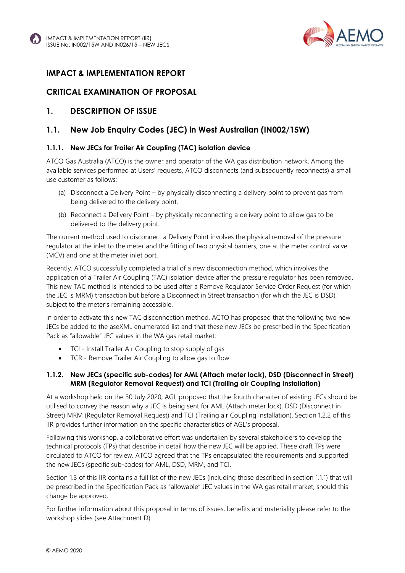



#### **IMPACT & IMPLEMENTATION REPORT**

#### **CRITICAL EXAMINATION OF PROPOSAL**

#### **1. DESCRIPTION OF ISSUE**

#### **1.1. New Job Enquiry Codes (JEC) in West Australian (IN002/15W)**

#### **1.1.1. New JECs for Trailer Air Coupling (TAC) isolation device**

ATCO Gas Australia (ATCO) is the owner and operator of the WA gas distribution network. Among the available services performed at Users' requests, ATCO disconnects (and subsequently reconnects) a small use customer as follows:

- (a) Disconnect a Delivery Point by physically disconnecting a delivery point to prevent gas from being delivered to the delivery point.
- (b) Reconnect a Delivery Point by physically reconnecting a delivery point to allow gas to be delivered to the delivery point.

The current method used to disconnect a Delivery Point involves the physical removal of the pressure regulator at the inlet to the meter and the fitting of two physical barriers, one at the meter control valve (MCV) and one at the meter inlet port.

Recently, ATCO successfully completed a trial of a new disconnection method, which involves the application of a Trailer Air Coupling (TAC) isolation device after the pressure regulator has been removed. This new TAC method is intended to be used after a Remove Regulator Service Order Request (for which the JEC is MRM) transaction but before a Disconnect in Street transaction (for which the JEC is DSD), subject to the meter's remaining accessible.

In order to activate this new TAC disconnection method, ACTO has proposed that the following two new JECs be added to the aseXML enumerated list and that these new JECs be prescribed in the Specification Pack as "allowable" JEC values in the WA gas retail market:

- TCI Install Trailer Air Coupling to stop supply of gas
- TCR Remove Trailer Air Coupling to allow gas to flow

#### **1.1.2. New JECs (specific sub-codes) for AML (Attach meter lock), DSD (Disconnect in Street) MRM (Regulator Removal Request) and TCI (Trailing air Coupling Installation)**

At a workshop held on the 30 July 2020, AGL proposed that the fourth character of existing JECs should be utilised to convey the reason why a JEC is being sent for AML (Attach meter lock), DSD (Disconnect in Street) MRM (Regulator Removal Request) and TCI (Trailing air Coupling Installation). Section 1.2.2 of this IIR provides further information on the specific characteristics of AGL's proposal.

Following this workshop, a collaborative effort was undertaken by several stakeholders to develop the technical protocols (TPs) that describe in detail how the new JEC will be applied. These draft TPs were circulated to ATCO for review. ATCO agreed that the TPs encapsulated the requirements and supported the new JECs (specific sub-codes) for AML, DSD, MRM, and TCI.

Section 1.3 of this IIR contains a full list of the new JECs (including those described in section 1.1.1) that will be prescribed in the Specification Pack as "allowable" JEC values in the WA gas retail market, should this change be approved.

For further information about this proposal in terms of issues, benefits and materiality please refer to the workshop slides (see Attachment D).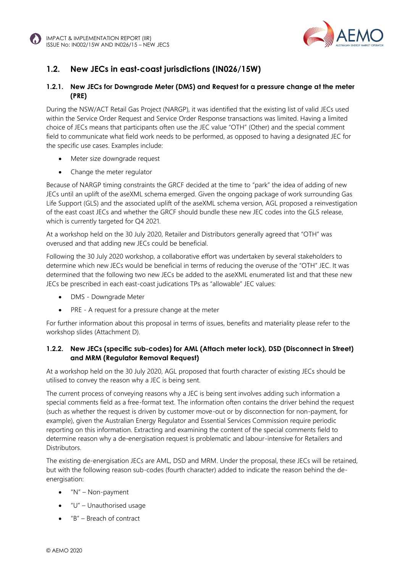



## **1.2. New JECs in east-coast jurisdictions (IN026/15W)**

#### **1.2.1. New JECs for Downgrade Meter (DMS) and Request for a pressure change at the meter (PRE)**

During the NSW/ACT Retail Gas Project (NARGP), it was identified that the existing list of valid JECs used within the Service Order Request and Service Order Response transactions was limited. Having a limited choice of JECs means that participants often use the JEC value "OTH" (Other) and the special comment field to communicate what field work needs to be performed, as opposed to having a designated JEC for the specific use cases. Examples include:

- Meter size downgrade request
- Change the meter regulator

Because of NARGP timing constraints the GRCF decided at the time to "park" the idea of adding of new JECs until an uplift of the aseXML schema emerged. Given the ongoing package of work surrounding Gas Life Support (GLS) and the associated uplift of the aseXML schema version, AGL proposed a reinvestigation of the east coast JECs and whether the GRCF should bundle these new JEC codes into the GLS release, which is currently targeted for O4 2021.

At a workshop held on the 30 July 2020, Retailer and Distributors generally agreed that "OTH" was overused and that adding new JECs could be beneficial.

Following the 30 July 2020 workshop, a collaborative effort was undertaken by several stakeholders to determine which new JECs would be beneficial in terms of reducing the overuse of the "OTH" JEC. It was determined that the following two new JECs be added to the aseXML enumerated list and that these new JECs be prescribed in each east-coast judications TPs as "allowable" JEC values:

- DMS Downgrade Meter
- PRE A request for a pressure change at the meter

For further information about this proposal in terms of issues, benefits and materiality please refer to the workshop slides (Attachment D).

#### **1.2.2. New JECs (specific sub-codes) for AML (Attach meter lock), DSD (Disconnect in Street) and MRM (Regulator Removal Request)**

At a workshop held on the 30 July 2020, AGL proposed that fourth character of existing JECs should be utilised to convey the reason why a JEC is being sent.

The current process of conveying reasons why a JEC is being sent involves adding such information a special comments field as a free-format text. The information often contains the driver behind the request (such as whether the request is driven by customer move-out or by disconnection for non-payment, for example), given the Australian Energy Regulator and Essential Services Commission require periodic reporting on this information. Extracting and examining the content of the special comments field to determine reason why a de-energisation request is problematic and labour-intensive for Retailers and Distributors.

The existing de-energisation JECs are AML, DSD and MRM. Under the proposal, these JECs will be retained, but with the following reason sub-codes (fourth character) added to indicate the reason behind the deenergisation:

- $N''$  Non-payment
- "U" Unauthorised usage
- "B" Breach of contract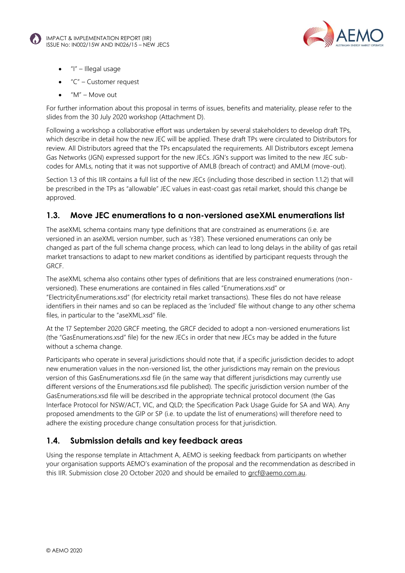



- "I" Illegal usage
- "C" Customer request
- "M" Move out

For further information about this proposal in terms of issues, benefits and materiality, please refer to the slides from the 30 July 2020 workshop (Attachment D).

Following a workshop a collaborative effort was undertaken by several stakeholders to develop draft TPs, which describe in detail how the new JEC will be applied. These draft TPs were circulated to Distributors for review. All Distributors agreed that the TPs encapsulated the requirements. All Distributors except Jemena Gas Networks (JGN) expressed support for the new JECs. JGN's support was limited to the new JEC subcodes for AMLs, noting that it was not supportive of AMLB (breach of contract) and AMLM (move-out).

Section 1.3 of this IIR contains a full list of the new JECs (including those described in section 1.1.2) that will be prescribed in the TPs as "allowable" JEC values in east-coast gas retail market, should this change be approved.

#### **1.3. Move JEC enumerations to a non-versioned aseXML enumerations list**

The aseXML schema contains many type definitions that are constrained as enumerations (i.e. are versioned in an aseXML version number, such as 'r38'). These versioned enumerations can only be changed as part of the full schema change process, which can lead to long delays in the ability of gas retail market transactions to adapt to new market conditions as identified by participant requests through the GRCF.

The aseXML schema also contains other types of definitions that are less constrained enumerations (nonversioned). These enumerations are contained in files called "Enumerations.xsd" or "ElectricityEnumerations.xsd" (for electricity retail market transactions). These files do not have release identifiers in their names and so can be replaced as the 'included' file without change to any other schema files, in particular to the "aseXML.xsd" file.

At the 17 September 2020 GRCF meeting, the GRCF decided to adopt a non-versioned enumerations list (the "GasEnumerations.xsd" file) for the new JECs in order that new JECs may be added in the future without a schema change.

Participants who operate in several jurisdictions should note that, if a specific jurisdiction decides to adopt new enumeration values in the non-versioned list, the other jurisdictions may remain on the previous version of this GasEnumerations.xsd file (in the same way that different jurisdictions may currently use different versions of the Enumerations.xsd file published). The specific jurisdiction version number of the GasEnumerations.xsd file will be described in the appropriate technical protocol document (the Gas Interface Protocol for NSW/ACT, VIC, and QLD; the Specification Pack Usage Guide for SA and WA). Any proposed amendments to the GIP or SP (i.e. to update the list of enumerations) will therefore need to adhere the existing procedure change consultation process for that jurisdiction.

#### **1.4. Submission details and key feedback areas**

Using the response template in Attachment A, AEMO is seeking feedback from participants on whether your organisation supports AEMO's examination of the proposal and the recommendation as described in this IIR. Submission close 20 October 2020 and should be emailed to [grcf@aemo.com.au.](mailto:grcf@aemo.com.au)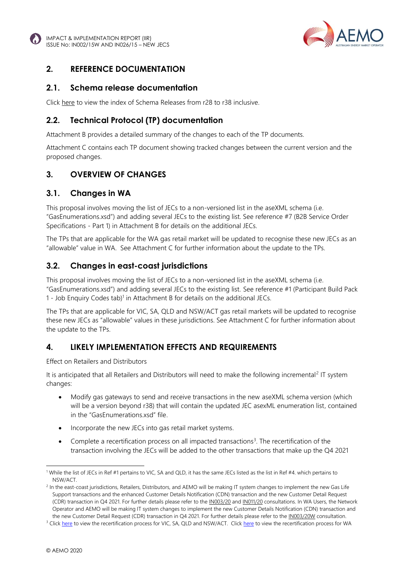



#### **2. REFERENCE DOCUMENTATION**

#### **2.1. Schema release documentation**

Clic[k here](https://aemo.com.au/energy-systems/market-it-systems/asexml-standards/asexml-schemas/) to view the index of Schema Releases from r28 to r38 inclusive.

#### **2.2. Technical Protocol (TP) documentation**

Attachment B provides a detailed summary of the changes to each of the TP documents.

Attachment C contains each TP document showing tracked changes between the current version and the proposed changes.

## **3. OVERVIEW OF CHANGES**

#### **3.1. Changes in WA**

This proposal involves moving the list of JECs to a non-versioned list in the aseXML schema (i.e. "GasEnumerations.xsd") and adding several JECs to the existing list. See reference #7 (B2B Service Order Specifications - Part 1) in Attachment B for details on the additional JECs.

The TPs that are applicable for the WA gas retail market will be updated to recognise these new JECs as an "allowable" value in WA. See Attachment C for further information about the update to the TPs.

#### **3.2. Changes in east-coast jurisdictions**

This proposal involves moving the list of JECs to a non-versioned list in the aseXML schema (i.e. "GasEnumerations.xsd") and adding several JECs to the existing list. See reference #1 (Participant Build Pack 1 - Job Enquiry Codes tab)<sup>1</sup> in Attachment B for details on the additional JECs.

The TPs that are applicable for VIC, SA, QLD and NSW/ACT gas retail markets will be updated to recognise these new JECs as "allowable" values in these jurisdictions. See Attachment C for further information about the update to the TPs.

#### **4. LIKELY IMPLEMENTATION EFFECTS AND REQUIREMENTS**

Effect on Retailers and Distributors

It is anticipated that all Retailers and Distributors will need to make the following incremental<sup>2</sup> IT system changes:

- Modify gas gateways to send and receive transactions in the new aseXML schema version (which will be a version beyond r38) that will contain the updated JEC asexML enumeration list, contained in the "GasEnumerations xsd" file
- Incorporate the new JECs into gas retail market systems.
- Complete a recertification process on all impacted transactions<sup>3</sup>. The recertification of the transaction involving the JECs will be added to the other transactions that make up the Q4 2021

<sup>1</sup> While the list of JECs in Ref #1 pertains to VIC, SA and QLD, it has the same JECs listed as the list in Ref #4. which pertains to NSW/ACT.

<sup>&</sup>lt;sup>2</sup> In the east-coast jurisdictions, Retailers, Distributors, and AEMO will be making IT system changes to implement the new Gas Life Support transactions and the enhanced Customer Details Notification (CDN) transaction and the new Customer Detail Request (CDR) transaction in Q4 2021. For further details please refer to th[e IN003/20](https://aemo.com.au/consultations/current-and-closed-consultations/in003-20-gas-life-support) an[d IN011/20](https://aemo.com.au/consultations/current-and-closed-consultations/in011-20-cdn-and-cdr-changes) consultations. In WA Users, the Network Operator and AEMO will be making IT system changes to implement the new Customer Details Notification (CDN) transaction and the new Customer Detail Request (CDR) transaction in Q4 2021. For further details please refer to th[e IN003/20W](https://aemo.com.au/consultations/current-and-closed-consultations/in003-20w-wa-cdn-and-cdr-changes) consultation.

<sup>&</sup>lt;sup>3</sup> Click [here](https://aemo.com.au/-/media/files/gas/it_systems/2020/gas-frc-b2b-connectivity-testing-and-sys-certification.pdf?la=en) to view the recertification process for VIC, SA, QLD and NSW/ACT. Click [here](https://aemo.com.au/-/media/files/gas/retail_markets_and_metering/market-procedures/wa/2020/connectivity-testing-and-technical-certification-wa-only-v37-clean.pdf?la=en) to view the recertification process for WA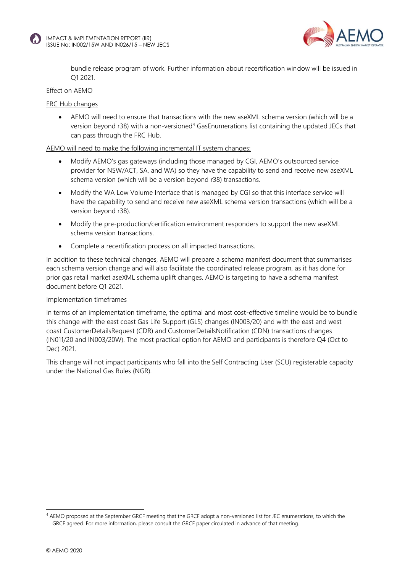



bundle release program of work. Further information about recertification window will be issued in Q1 2021.

#### Effect on AEMO

FRC Hub changes

• AEMO will need to ensure that transactions with the new aseXML schema version (which will be a version beyond r38) with a non-versioned<sup>4</sup> GasEnumerations list containing the updated JECs that can pass through the FRC Hub.

AEMO will need to make the following incremental IT system changes:

- Modify AEMO's gas gateways (including those managed by CGI, AEMO's outsourced service provider for NSW/ACT, SA, and WA) so they have the capability to send and receive new aseXML schema version (which will be a version beyond r38) transactions.
- Modify the WA Low Volume Interface that is managed by CGI so that this interface service will have the capability to send and receive new aseXML schema version transactions (which will be a version beyond r38).
- Modify the pre-production/certification environment responders to support the new aseXML schema version transactions.
- Complete a recertification process on all impacted transactions.

In addition to these technical changes, AEMO will prepare a schema manifest document that summarises each schema version change and will also facilitate the coordinated release program, as it has done for prior gas retail market aseXML schema uplift changes. AEMO is targeting to have a schema manifest document before Q1 2021.

#### Implementation timeframes

In terms of an implementation timeframe, the optimal and most cost-effective timeline would be to bundle this change with the east coast Gas Life Support (GLS) changes (IN003/20) and with the east and west coast CustomerDetailsRequest (CDR) and CustomerDetailsNotification (CDN) transactions changes (IN011/20 and IN003/20W). The most practical option for AEMO and participants is therefore Q4 (Oct to Dec) 2021.

This change will not impact participants who fall into the Self Contracting User (SCU) registerable capacity under the National Gas Rules (NGR).

<sup>4</sup> AEMO proposed at the September GRCF meeting that the GRCF adopt a non-versioned list for JEC enumerations, to which the GRCF agreed. For more information, please consult the GRCF paper circulated in advance of that meeting.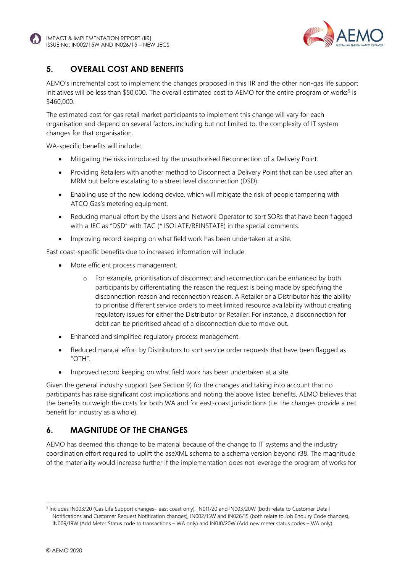



## **5. OVERALL COST AND BENEFITS**

AEMO's incremental cost to implement the changes proposed in this IIR and the other non-gas life support initiatives will be less than \$50,000. The overall estimated cost to AEMO for the entire program of works<sup>5</sup> is \$460,000.

The estimated cost for gas retail market participants to implement this change will vary for each organisation and depend on several factors, including but not limited to, the complexity of IT system changes for that organisation.

WA-specific benefits will include:

- Mitigating the risks introduced by the unauthorised Reconnection of a Delivery Point.
- Providing Retailers with another method to Disconnect a Delivery Point that can be used after an MRM but before escalating to a street level disconnection (DSD).
- Enabling use of the new locking device, which will mitigate the risk of people tampering with ATCO Gas's metering equipment.
- Reducing manual effort by the Users and Network Operator to sort SORs that have been flagged with a JEC as "DSD" with TAC (\* ISOLATE/REINSTATE) in the special comments.
- Improving record keeping on what field work has been undertaken at a site.

East coast-specific benefits due to increased information will include:

- More efficient process management.
	- o For example, prioritisation of disconnect and reconnection can be enhanced by both participants by differentiating the reason the request is being made by specifying the disconnection reason and reconnection reason. A Retailer or a Distributor has the ability to prioritise different service orders to meet limited resource availability without creating regulatory issues for either the Distributor or Retailer. For instance, a disconnection for debt can be prioritised ahead of a disconnection due to move out.
- Enhanced and simplified regulatory process management.
- Reduced manual effort by Distributors to sort service order requests that have been flagged as "OTH".
- Improved record keeping on what field work has been undertaken at a site.

Given the general industry support (see Section 9) for the changes and taking into account that no participants has raise significant cost implications and noting the above listed benefits, AEMO believes that the benefits outweigh the costs for both WA and for east-coast jurisdictions (i.e. the changes provide a net benefit for industry as a whole).

## **6. MAGNITUDE OF THE CHANGES**

AEMO has deemed this change to be material because of the change to IT systems and the industry coordination effort required to uplift the aseXML schema to a schema version beyond r38. The magnitude of the materiality would increase further if the implementation does not leverage the program of works for

<sup>5</sup> Includes IN003/20 (Gas Life Support changes– east coast only), IN011/20 and IN003/20W (both relate to Customer Detail Notifications and Customer Request Notification changes), IN002/15W and IN026/15 (both relate to Job Enquiry Code changes), IN009/19W (Add Meter Status code to transactions – WA only) and IN010/20W (Add new meter status codes – WA only).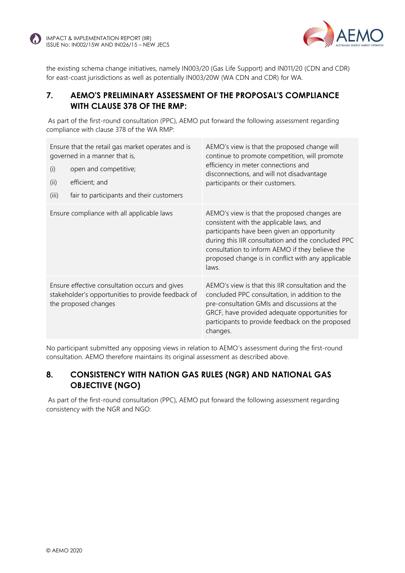

the existing schema change initiatives, namely IN003/20 (Gas Life Support) and IN011/20 (CDN and CDR) for east-coast jurisdictions as well as potentially IN003/20W (WA CDN and CDR) for WA.

## **7. AEMO'S PRELIMINARY ASSESSMENT OF THE PROPOSAL'S COMPLIANCE WITH CLAUSE 378 OF THE RMP:**

As part of the first-round consultation (PPC), AEMO put forward the following assessment regarding compliance with clause 378 of the WA RMP:

| Ensure that the retail gas market operates and is<br>governed in a manner that is,<br>open and competitive;<br>(i)<br>(ii)<br>efficient; and<br>fair to participants and their customers<br>(iii) | AEMO's view is that the proposed change will<br>continue to promote competition, will promote<br>efficiency in meter connections and<br>disconnections, and will not disadvantage<br>participants or their customers.                                                                                           |
|---------------------------------------------------------------------------------------------------------------------------------------------------------------------------------------------------|-----------------------------------------------------------------------------------------------------------------------------------------------------------------------------------------------------------------------------------------------------------------------------------------------------------------|
| Ensure compliance with all applicable laws                                                                                                                                                        | AEMO's view is that the proposed changes are<br>consistent with the applicable laws, and<br>participants have been given an opportunity<br>during this IIR consultation and the concluded PPC<br>consultation to inform AEMO if they believe the<br>proposed change is in conflict with any applicable<br>laws. |
| Ensure effective consultation occurs and gives<br>stakeholder's opportunities to provide feedback of<br>the proposed changes                                                                      | AEMO's view is that this IIR consultation and the<br>concluded PPC consultation, in addition to the<br>pre-consultation GMIs and discussions at the<br>GRCF, have provided adequate opportunities for<br>participants to provide feedback on the proposed<br>changes.                                           |

No participant submitted any opposing views in relation to AEMO's assessment during the first-round consultation. AEMO therefore maintains its original assessment as described above.

#### **8. CONSISTENCY WITH NATION GAS RULES (NGR) AND NATIONAL GAS OBJECTIVE (NGO)**

As part of the first-round consultation (PPC), AEMO put forward the following assessment regarding consistency with the NGR and NGO: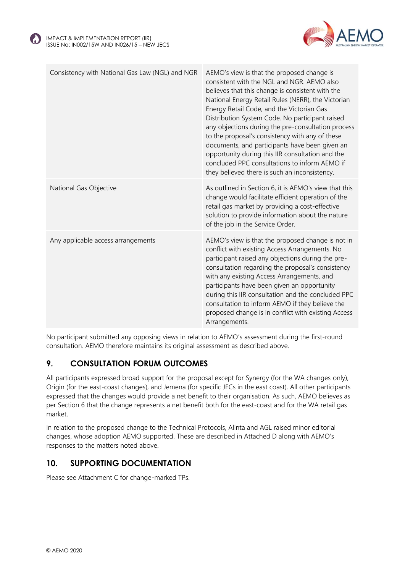



| Consistency with National Gas Law (NGL) and NGR | AEMO's view is that the proposed change is<br>consistent with the NGL and NGR. AEMO also<br>believes that this change is consistent with the<br>National Energy Retail Rules (NERR), the Victorian<br>Energy Retail Code, and the Victorian Gas<br>Distribution System Code. No participant raised<br>any objections during the pre-consultation process<br>to the proposal's consistency with any of these<br>documents, and participants have been given an<br>opportunity during this IIR consultation and the<br>concluded PPC consultations to inform AEMO if<br>they believed there is such an inconsistency. |
|-------------------------------------------------|---------------------------------------------------------------------------------------------------------------------------------------------------------------------------------------------------------------------------------------------------------------------------------------------------------------------------------------------------------------------------------------------------------------------------------------------------------------------------------------------------------------------------------------------------------------------------------------------------------------------|
| National Gas Objective                          | As outlined in Section 6, it is AEMO's view that this<br>change would facilitate efficient operation of the<br>retail gas market by providing a cost-effective<br>solution to provide information about the nature<br>of the job in the Service Order.                                                                                                                                                                                                                                                                                                                                                              |
| Any applicable access arrangements              | AEMO's view is that the proposed change is not in<br>conflict with existing Access Arrangements. No<br>participant raised any objections during the pre-<br>consultation regarding the proposal's consistency<br>with any existing Access Arrangements, and<br>participants have been given an opportunity<br>during this IIR consultation and the concluded PPC<br>consultation to inform AEMO if they believe the<br>proposed change is in conflict with existing Access<br>Arrangements.                                                                                                                         |

No participant submitted any opposing views in relation to AEMO's assessment during the first-round consultation. AEMO therefore maintains its original assessment as described above.

## **9. CONSULTATION FORUM OUTCOMES**

All participants expressed broad support for the proposal except for Synergy (for the WA changes only), Origin (for the east-coast changes), and Jemena (for specific JECs in the east coast). All other participants expressed that the changes would provide a net benefit to their organisation. As such, AEMO believes as per Section 6 that the change represents a net benefit both for the east-coast and for the WA retail gas market.

In relation to the proposed change to the Technical Protocols, Alinta and AGL raised minor editorial changes, whose adoption AEMO supported. These are described in Attached D along with AEMO's responses to the matters noted above.

#### **10. SUPPORTING DOCUMENTATION**

Please see Attachment C for change-marked TPs.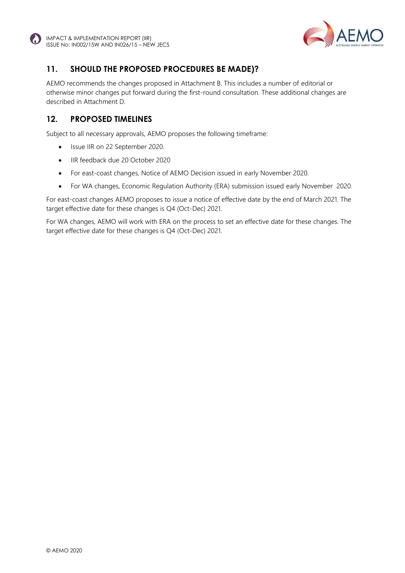



## **11. SHOULD THE PROPOSED PROCEDURES BE MADE)?**

AEMO recommends the changes proposed in Attachment B. This includes a number of editorial or otherwise minor changes put forward during the first-round consultation. These additional changes are described in Attachment D.

#### **12. PROPOSED TIMELINES**

Subject to all necessary approvals, AEMO proposes the following timeframe:

- Issue IIR on 22 September 2020.
- IIR feedback due 20 October 2020
- For east-coast changes, Notice of AEMO Decision issued in early November 2020.
- For WA changes, Economic Regulation Authority (ERA) submission issued early November 2020.

For east-coast changes AEMO proposes to issue a notice of effective date by the end of March 2021. The target effective date for these changes is Q4 (Oct-Dec) 2021.

For WA changes, AEMO will work with ERA on the process to set an effective date for these changes. The target effective date for these changes is Q4 (Oct-Dec) 2021.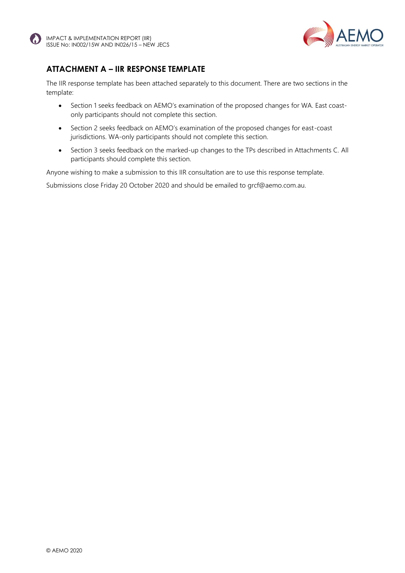



## **ATTACHMENT A – IIR RESPONSE TEMPLATE**

The IIR response template has been attached separately to this document. There are two sections in the template:

- Section 1 seeks feedback on AEMO's examination of the proposed changes for WA. East coastonly participants should not complete this section.
- Section 2 seeks feedback on AEMO's examination of the proposed changes for east-coast jurisdictions. WA-only participants should not complete this section.
- Section 3 seeks feedback on the marked-up changes to the TPs described in Attachments C. All participants should complete this section.

Anyone wishing to make a submission to this IIR consultation are to use this response template.

Submissions close Friday 20 October 2020 and should be emailed to grcf@aemo.com.au.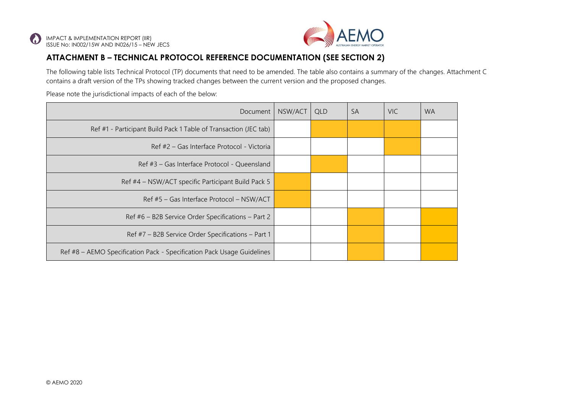

## **ATTACHMENT B – TECHNICAL PROTOCOL REFERENCE DOCUMENTATION (SEE SECTION 2)**

The following table lists Technical Protocol (TP) documents that need to be amended. The table also contains a summary of the changes. Attachment C contains a draft version of the TPs showing tracked changes between the current version and the proposed changes.

Please note the jurisdictional impacts of each of the below:

| Document                                                               | NSW/ACT | <b>QLD</b> | <b>SA</b> | <b>VIC</b> | <b>WA</b> |
|------------------------------------------------------------------------|---------|------------|-----------|------------|-----------|
| Ref #1 - Participant Build Pack 1 Table of Transaction (JEC tab)       |         |            |           |            |           |
| Ref #2 – Gas Interface Protocol - Victoria                             |         |            |           |            |           |
| Ref #3 - Gas Interface Protocol - Queensland                           |         |            |           |            |           |
| Ref #4 – NSW/ACT specific Participant Build Pack 5                     |         |            |           |            |           |
| Ref #5 - Gas Interface Protocol - NSW/ACT                              |         |            |           |            |           |
| Ref #6 - B2B Service Order Specifications - Part 2                     |         |            |           |            |           |
| Ref #7 - B2B Service Order Specifications - Part 1                     |         |            |           |            |           |
| Ref #8 – AEMO Specification Pack - Specification Pack Usage Guidelines |         |            |           |            |           |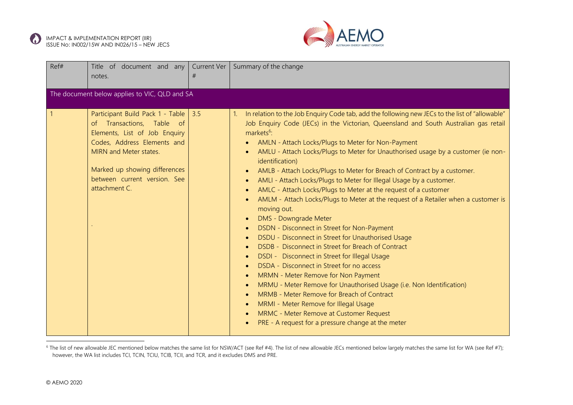



| Ref#         | Title of document and any<br>notes.                                                                                                                                                                                                       | Current Ver<br># | Summary of the change                                                                                                                                                                                                                                                                                                                                                                                                                                                                                                                                                                                                                                                                                                                                                                                                                                                                                                                                                                                                                                                                                                                                                                                                                                                                                                              |  |  |  |  |
|--------------|-------------------------------------------------------------------------------------------------------------------------------------------------------------------------------------------------------------------------------------------|------------------|------------------------------------------------------------------------------------------------------------------------------------------------------------------------------------------------------------------------------------------------------------------------------------------------------------------------------------------------------------------------------------------------------------------------------------------------------------------------------------------------------------------------------------------------------------------------------------------------------------------------------------------------------------------------------------------------------------------------------------------------------------------------------------------------------------------------------------------------------------------------------------------------------------------------------------------------------------------------------------------------------------------------------------------------------------------------------------------------------------------------------------------------------------------------------------------------------------------------------------------------------------------------------------------------------------------------------------|--|--|--|--|
|              | The document below applies to VIC, QLD and SA                                                                                                                                                                                             |                  |                                                                                                                                                                                                                                                                                                                                                                                                                                                                                                                                                                                                                                                                                                                                                                                                                                                                                                                                                                                                                                                                                                                                                                                                                                                                                                                                    |  |  |  |  |
| $\mathbf{1}$ | Participant Build Pack 1 - Table<br>of Transactions, Table of<br>Elements, List of Job Enquiry<br>Codes, Address Elements and<br>MIRN and Meter states.<br>Marked up showing differences<br>between current version. See<br>attachment C. | 3.5              | In relation to the Job Enquiry Code tab, add the following new JECs to the list of "allowable"<br>Job Enquiry Code (JECs) in the Victorian, Queensland and South Australian gas retail<br>markets <sup>6</sup> :<br>AMLN - Attach Locks/Plugs to Meter for Non-Payment<br>AMLU - Attach Locks/Plugs to Meter for Unauthorised usage by a customer (ie non-<br>identification)<br>AMLB - Attach Locks/Plugs to Meter for Breach of Contract by a customer.<br>AMLI - Attach Locks/Plugs to Meter for Illegal Usage by a customer.<br>$\bullet$<br>AMLC - Attach Locks/Plugs to Meter at the request of a customer<br>AMLM - Attach Locks/Plugs to Meter at the request of a Retailer when a customer is<br>moving out.<br><b>DMS - Downgrade Meter</b><br>DSDN - Disconnect in Street for Non-Payment<br>DSDU - Disconnect in Street for Unauthorised Usage<br>DSDB - Disconnect in Street for Breach of Contract<br>DSDI - Disconnect in Street for Illegal Usage<br>DSDA - Disconnect in Street for no access<br>MRMN - Meter Remove for Non Payment<br>MRMU - Meter Remove for Unauthorised Usage (i.e. Non Identification)<br>MRMB - Meter Remove for Breach of Contract<br>MRMI - Meter Remove for Illegal Usage<br>MRMC - Meter Remove at Customer Request<br>$\bullet$<br>PRE - A request for a pressure change at the meter |  |  |  |  |

<sup>6</sup> The list of new allowable JEC mentioned below matches the same list for NSW/ACT (see Ref #4). The list of new allowable JECs mentioned below largely matches the same list for WA (see Ref #7); however, the WA list includes TCI, TCIN, TCIU, TCIB, TCII, and TCR, and it excludes DMS and PRE.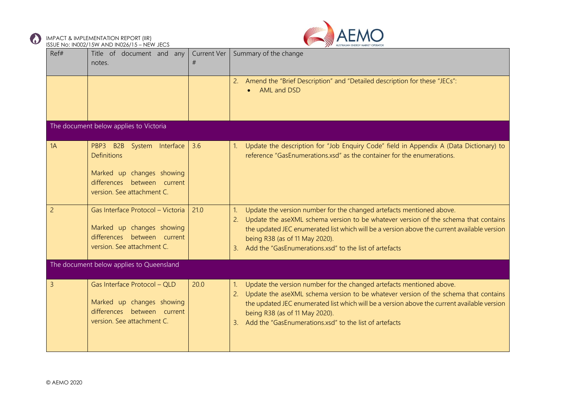

 $\bf{C}$ 



|                | <b>BOOL INC. INCOZY LOW AND INCZOT LO - NEW JECS</b>                                                                        |                  |                                                                                                                                                                                                                                                                                                                                                              |
|----------------|-----------------------------------------------------------------------------------------------------------------------------|------------------|--------------------------------------------------------------------------------------------------------------------------------------------------------------------------------------------------------------------------------------------------------------------------------------------------------------------------------------------------------------|
| Ref#           | Title of document and any<br>notes.                                                                                         | Current Ver<br># | Summary of the change                                                                                                                                                                                                                                                                                                                                        |
|                |                                                                                                                             |                  | 2. Amend the "Brief Description" and "Detailed description for these "JECs":<br>• AML and DSD                                                                                                                                                                                                                                                                |
|                | The document below applies to Victoria                                                                                      |                  |                                                                                                                                                                                                                                                                                                                                                              |
| 1A             | PBP3 B2B<br>System Interface<br><b>Definitions</b>                                                                          | 3.6              | Update the description for "Job Enquiry Code" field in Appendix A (Data Dictionary) to<br>reference "GasEnumerations.xsd" as the container for the enumerations.                                                                                                                                                                                             |
|                | Marked up changes showing<br>differences between current<br>version. See attachment C.                                      |                  |                                                                                                                                                                                                                                                                                                                                                              |
| $\overline{2}$ | Gas Interface Protocol - Victoria<br>Marked up changes showing<br>differences between current<br>version. See attachment C. | 21.0             | Update the version number for the changed artefacts mentioned above.<br>2. Update the aseXML schema version to be whatever version of the schema that contains<br>the updated JEC enumerated list which will be a version above the current available version<br>being R38 (as of 11 May 2020).<br>3. Add the "GasEnumerations.xsd" to the list of artefacts |
|                | The document below applies to Queensland                                                                                    |                  |                                                                                                                                                                                                                                                                                                                                                              |
| $\overline{3}$ | Gas Interface Protocol - QLD<br>Marked up changes showing<br>differences between current<br>version. See attachment C.      | 20.0             | Update the version number for the changed artefacts mentioned above.<br>2. Update the aseXML schema version to be whatever version of the schema that contains<br>the updated JEC enumerated list which will be a version above the current available version<br>being R38 (as of 11 May 2020).<br>3. Add the "GasEnumerations.xsd" to the list of artefacts |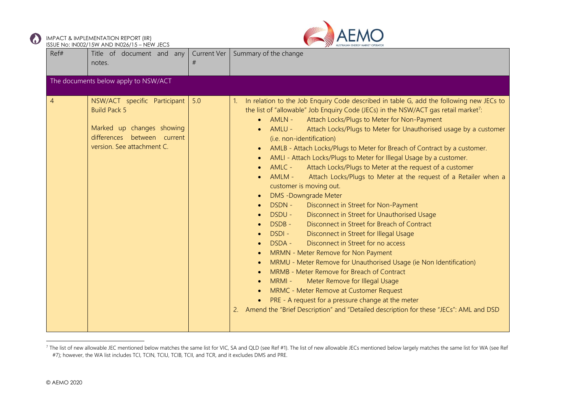



| Ref#           | Title of document and any<br>notes.                                                                                                           | <b>Current Ver</b><br># | Summary of the change                                                                                                                                                                                                                                                                                                                                                                                                                                                                                                                                                                                                                                                                                                                                                                                                                                                                                                                                                                                                                                                                                                                                                                                                                                                                                                                                                                                                      |  |
|----------------|-----------------------------------------------------------------------------------------------------------------------------------------------|-------------------------|----------------------------------------------------------------------------------------------------------------------------------------------------------------------------------------------------------------------------------------------------------------------------------------------------------------------------------------------------------------------------------------------------------------------------------------------------------------------------------------------------------------------------------------------------------------------------------------------------------------------------------------------------------------------------------------------------------------------------------------------------------------------------------------------------------------------------------------------------------------------------------------------------------------------------------------------------------------------------------------------------------------------------------------------------------------------------------------------------------------------------------------------------------------------------------------------------------------------------------------------------------------------------------------------------------------------------------------------------------------------------------------------------------------------------|--|
|                | The documents below apply to NSW/ACT                                                                                                          |                         |                                                                                                                                                                                                                                                                                                                                                                                                                                                                                                                                                                                                                                                                                                                                                                                                                                                                                                                                                                                                                                                                                                                                                                                                                                                                                                                                                                                                                            |  |
| $\overline{4}$ | NSW/ACT specific Participant<br><b>Build Pack 5</b><br>Marked up changes showing<br>differences between current<br>version. See attachment C. | 5.0                     | In relation to the Job Enquiry Code described in table G, add the following new JECs to<br>$\mathbf{1}$ .<br>the list of "allowable" Job Enquiry Code (JECs) in the NSW/ACT gas retail market <sup>7</sup> :<br>AMLN-<br>Attach Locks/Plugs to Meter for Non-Payment<br>Attach Locks/Plugs to Meter for Unauthorised usage by a customer<br>AMLU -<br>(i.e. non-identification)<br>AMLB - Attach Locks/Plugs to Meter for Breach of Contract by a customer.<br>AMLI - Attach Locks/Plugs to Meter for Illegal Usage by a customer.<br>AMLC -<br>Attach Locks/Plugs to Meter at the request of a customer<br>AMLM -<br>Attach Locks/Plugs to Meter at the request of a Retailer when a<br>customer is moving out.<br><b>DMS</b> - Downgrade Meter<br>DSDN -<br>Disconnect in Street for Non-Payment<br>Disconnect in Street for Unauthorised Usage<br>DSDU -<br>Disconnect in Street for Breach of Contract<br>DSDB-<br>DSDI-<br>Disconnect in Street for Illegal Usage<br>Disconnect in Street for no access<br>DSDA -<br>MRMN - Meter Remove for Non Payment<br>MRMU - Meter Remove for Unauthorised Usage (ie Non Identification)<br>MRMB - Meter Remove for Breach of Contract<br>Meter Remove for Illegal Usage<br>MRMI -<br>MRMC - Meter Remove at Customer Request<br>PRE - A request for a pressure change at the meter<br>2. Amend the "Brief Description" and "Detailed description for these "JECs": AML and DSD |  |

<sup>&</sup>lt;sup>7</sup> The list of new allowable JEC mentioned below matches the same list for VIC, SA and QLD (see Ref #1). The list of new allowable JECs mentioned below largely matches the same list for WA (see Ref #7); however, the WA list includes TCI, TCIN, TCIU, TCIB, TCII, and TCR, and it excludes DMS and PRE.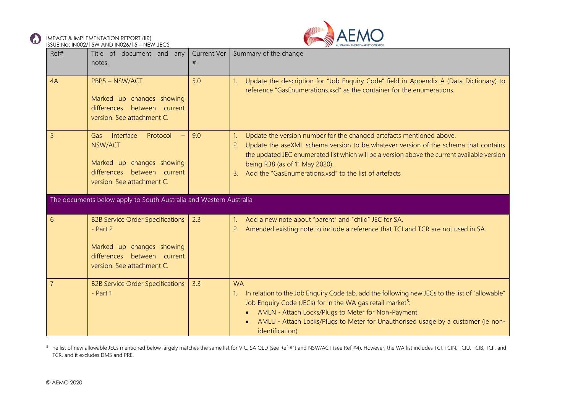



| Ref# | Title of document and any<br>notes.                                                                                                             | <b>Current Ver</b><br># | Summary of the change                                                                                                                                                                                                                                                                                                                                                              |
|------|-------------------------------------------------------------------------------------------------------------------------------------------------|-------------------------|------------------------------------------------------------------------------------------------------------------------------------------------------------------------------------------------------------------------------------------------------------------------------------------------------------------------------------------------------------------------------------|
| 4A   | PBP5 - NSW/ACT<br>Marked up changes showing<br>differences between current<br>version. See attachment C.                                        | 5.0                     | Update the description for "Job Enquiry Code" field in Appendix A (Data Dictionary) to<br>reference "GasEnumerations.xsd" as the container for the enumerations.                                                                                                                                                                                                                   |
| 5    | Interface<br>Protocol<br>Gas<br>$\equiv$<br>NSW/ACT<br>Marked up changes showing<br>differences between current<br>version. See attachment C.   | 9.0                     | Update the version number for the changed artefacts mentioned above.<br>$\mathbf{1}$<br>Update the aseXML schema version to be whatever version of the schema that contains<br>2.<br>the updated JEC enumerated list which will be a version above the current available version<br>being R38 (as of 11 May 2020).<br>Add the "GasEnumerations.xsd" to the list of artefacts<br>3. |
|      | The documents below apply to South Australia and Western Australia                                                                              |                         |                                                                                                                                                                                                                                                                                                                                                                                    |
| 6    | <b>B2B Service Order Specifications</b><br>$-$ Part 2<br>Marked up changes showing<br>differences between current<br>version. See attachment C. | 2.3                     | Add a new note about "parent" and "child" JEC for SA.<br>$\mathbf{1}$ .<br>Amended existing note to include a reference that TCI and TCR are not used in SA.                                                                                                                                                                                                                       |
|      | <b>B2B Service Order Specifications</b><br>$-$ Part 1                                                                                           | 3.3                     | <b>WA</b><br>In relation to the Job Enquiry Code tab, add the following new JECs to the list of "allowable"<br>Job Enquiry Code (JECs) for in the WA gas retail market <sup>8</sup> :<br>AMLN - Attach Locks/Plugs to Meter for Non-Payment<br>AMLU - Attach Locks/Plugs to Meter for Unauthorised usage by a customer (ie non-<br>identification)                                 |

<sup>8</sup> The list of new allowable JECs mentioned below largely matches the same list for VIC, SA QLD (see Ref #1) and NSW/ACT (see Ref #4). However, the WA list includes TCI, TCIN, TCIU, TCIB, TCII, and TCR, and it excludes DMS and PRE.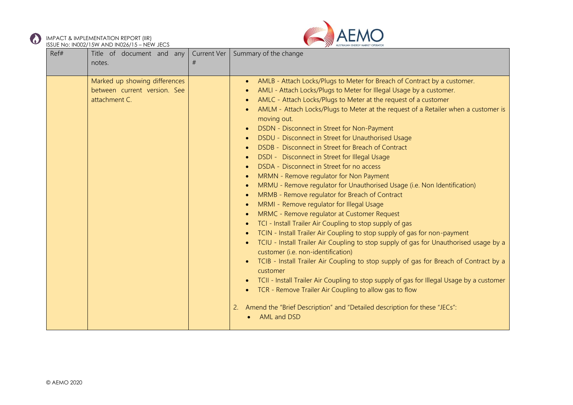



| Ref# | Title of document and any<br>notes.                                            | Current Ver<br># | Summary of the change                                                                                                                                                                                                                                                                                                                                                                                                                                                                                                                                                                                                                                                                                                                                                                                                                                                                                                                                                                                                                                                                                                                                                                                                                                                                                                                                                                                                                                                                                    |
|------|--------------------------------------------------------------------------------|------------------|----------------------------------------------------------------------------------------------------------------------------------------------------------------------------------------------------------------------------------------------------------------------------------------------------------------------------------------------------------------------------------------------------------------------------------------------------------------------------------------------------------------------------------------------------------------------------------------------------------------------------------------------------------------------------------------------------------------------------------------------------------------------------------------------------------------------------------------------------------------------------------------------------------------------------------------------------------------------------------------------------------------------------------------------------------------------------------------------------------------------------------------------------------------------------------------------------------------------------------------------------------------------------------------------------------------------------------------------------------------------------------------------------------------------------------------------------------------------------------------------------------|
|      | Marked up showing differences<br>between current version. See<br>attachment C. |                  | AMLB - Attach Locks/Plugs to Meter for Breach of Contract by a customer.<br>AMLI - Attach Locks/Plugs to Meter for Illegal Usage by a customer.<br>AMLC - Attach Locks/Plugs to Meter at the request of a customer<br>AMLM - Attach Locks/Plugs to Meter at the request of a Retailer when a customer is<br>moving out.<br>DSDN - Disconnect in Street for Non-Payment<br>DSDU - Disconnect in Street for Unauthorised Usage<br>DSDB - Disconnect in Street for Breach of Contract<br>DSDI - Disconnect in Street for Illegal Usage<br>DSDA - Disconnect in Street for no access<br>MRMN - Remove regulator for Non Payment<br>$\bullet$<br>MRMU - Remove regulator for Unauthorised Usage (i.e. Non Identification)<br>MRMB - Remove regulator for Breach of Contract<br>MRMI - Remove regulator for Illegal Usage<br>MRMC - Remove regulator at Customer Request<br>TCI - Install Trailer Air Coupling to stop supply of gas<br>TCIN - Install Trailer Air Coupling to stop supply of gas for non-payment<br>TCIU - Install Trailer Air Coupling to stop supply of gas for Unauthorised usage by a<br>customer (i.e. non-identification)<br>TCIB - Install Trailer Air Coupling to stop supply of gas for Breach of Contract by a<br>customer<br>TCII - Install Trailer Air Coupling to stop supply of gas for Illegal Usage by a customer<br>TCR - Remove Trailer Air Coupling to allow gas to flow<br>Amend the "Brief Description" and "Detailed description for these "JECs":<br>2.<br>AML and DSD |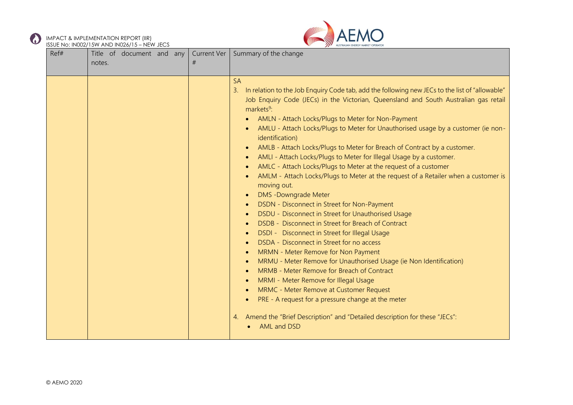



| Ref# | Title of document and any<br>notes. | Current Ver<br># | Summary of the change                                                                                                                                                                                                                                                                                                                                                                                                                                                                                                                                                                                                                                                                                                                                                                                                                                                                                                                                                                                                                                                                                                                                                                                                                                                                                                                                                                                        |
|------|-------------------------------------|------------------|--------------------------------------------------------------------------------------------------------------------------------------------------------------------------------------------------------------------------------------------------------------------------------------------------------------------------------------------------------------------------------------------------------------------------------------------------------------------------------------------------------------------------------------------------------------------------------------------------------------------------------------------------------------------------------------------------------------------------------------------------------------------------------------------------------------------------------------------------------------------------------------------------------------------------------------------------------------------------------------------------------------------------------------------------------------------------------------------------------------------------------------------------------------------------------------------------------------------------------------------------------------------------------------------------------------------------------------------------------------------------------------------------------------|
|      |                                     |                  | <b>SA</b><br>In relation to the Job Enquiry Code tab, add the following new JECs to the list of "allowable"<br>3.<br>Job Enquiry Code (JECs) in the Victorian, Queensland and South Australian gas retail<br>markets <sup>9</sup> :<br>AMLN - Attach Locks/Plugs to Meter for Non-Payment<br>AMLU - Attach Locks/Plugs to Meter for Unauthorised usage by a customer (ie non-<br>identification)<br>AMLB - Attach Locks/Plugs to Meter for Breach of Contract by a customer.<br>AMLI - Attach Locks/Plugs to Meter for Illegal Usage by a customer.<br>AMLC - Attach Locks/Plugs to Meter at the request of a customer<br>AMLM - Attach Locks/Plugs to Meter at the request of a Retailer when a customer is<br>moving out.<br><b>DMS</b> - Downgrade Meter<br>DSDN - Disconnect in Street for Non-Payment<br>DSDU - Disconnect in Street for Unauthorised Usage<br>DSDB - Disconnect in Street for Breach of Contract<br>DSDI - Disconnect in Street for Illegal Usage<br>DSDA - Disconnect in Street for no access<br>MRMN - Meter Remove for Non Payment<br>MRMU - Meter Remove for Unauthorised Usage (ie Non Identification)<br>MRMB - Meter Remove for Breach of Contract<br>MRMI - Meter Remove for Illegal Usage<br>MRMC - Meter Remove at Customer Request<br>PRE - A request for a pressure change at the meter<br>Amend the "Brief Description" and "Detailed description for these "JECs":<br>4. |
|      |                                     |                  | AML and DSD                                                                                                                                                                                                                                                                                                                                                                                                                                                                                                                                                                                                                                                                                                                                                                                                                                                                                                                                                                                                                                                                                                                                                                                                                                                                                                                                                                                                  |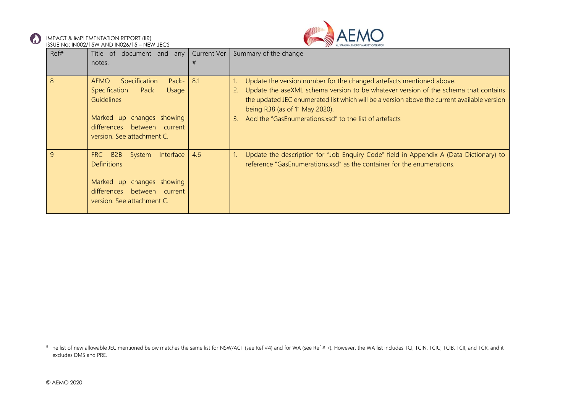



|              | 000 L T TO. IT TOUZIT OF THE TO IT TO ZO J TO THE THIS LOG                                                                                        |     |                                                                                                                                                                                                                                                                                                                                                                    |
|--------------|---------------------------------------------------------------------------------------------------------------------------------------------------|-----|--------------------------------------------------------------------------------------------------------------------------------------------------------------------------------------------------------------------------------------------------------------------------------------------------------------------------------------------------------------------|
| Ref#         | Title of document and any Current Ver                                                                                                             |     | Summary of the change                                                                                                                                                                                                                                                                                                                                              |
|              | notes.                                                                                                                                            |     |                                                                                                                                                                                                                                                                                                                                                                    |
|              |                                                                                                                                                   |     |                                                                                                                                                                                                                                                                                                                                                                    |
| 8            | Specification<br>Pack-<br>AEMO<br>Specification<br>Pack<br>Usage<br><b>Guidelines</b><br>Marked up changes showing<br>differences between current | 8.1 | Update the version number for the changed artefacts mentioned above.<br>Update the aseXML schema version to be whatever version of the schema that contains<br>2.<br>the updated JEC enumerated list which will be a version above the current available version<br>being R38 (as of 11 May 2020).<br>Add the "GasEnumerations.xsd" to the list of artefacts<br>3. |
|              | version. See attachment C.                                                                                                                        |     |                                                                                                                                                                                                                                                                                                                                                                    |
| $\mathsf{q}$ | FRC B2B System<br>Interface<br><b>Definitions</b><br>Marked up changes showing<br>differences between current<br>version. See attachment C.       | 4.6 | Update the description for "Job Enquiry Code" field in Appendix A (Data Dictionary) to<br>reference "GasEnumerations.xsd" as the container for the enumerations.                                                                                                                                                                                                   |

<sup>&</sup>lt;sup>9</sup> The list of new allowable JEC mentioned below matches the same list for NSW/ACT (see Ref #4) and for WA (see Ref #7). However, the WA list includes TCI, TCIN, TCIU, TCIB, TCII, and TCR, and it excludes DMS and PRE.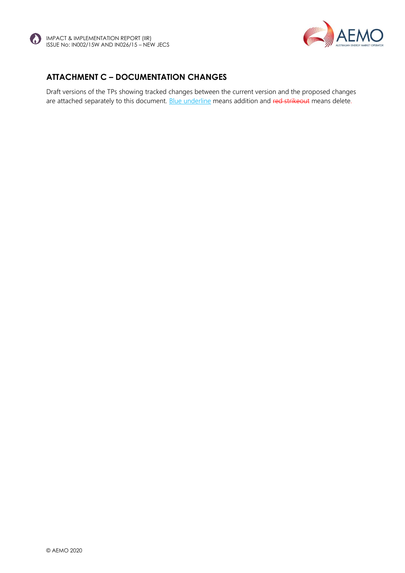



## **ATTACHMENT C – DOCUMENTATION CHANGES**

Draft versions of the TPs showing tracked changes between the current version and the proposed changes are attached separately to this document. Blue underline means addition and red strikeout means delete.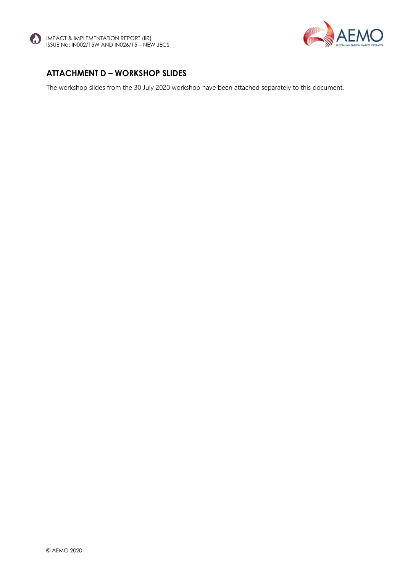



#### **ATTACHMENT D – WORKSHOP SLIDES**

The workshop slides from the 30 July 2020 workshop have been attached separately to this document.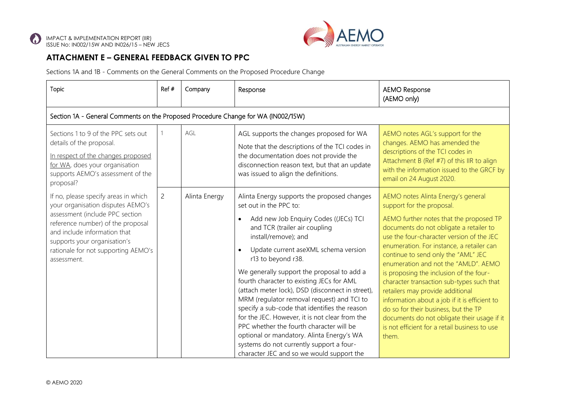

## **ATTACHMENT E – GENERAL FEEDBACK GIVEN TO PPC**

Sections 1A and 1B - Comments on the General Comments on the Proposed Procedure Change

| Topic                                                                                                                                                                                     | Ref #                                                                             | Company                                                                                                                                                                                                                                                                                                                                  | Response                                                                                                                                                                                                                                                                                                          | <b>AEMO Response</b><br>(AEMO only)                                                                                                                                                                                           |  |  |  |
|-------------------------------------------------------------------------------------------------------------------------------------------------------------------------------------------|-----------------------------------------------------------------------------------|------------------------------------------------------------------------------------------------------------------------------------------------------------------------------------------------------------------------------------------------------------------------------------------------------------------------------------------|-------------------------------------------------------------------------------------------------------------------------------------------------------------------------------------------------------------------------------------------------------------------------------------------------------------------|-------------------------------------------------------------------------------------------------------------------------------------------------------------------------------------------------------------------------------|--|--|--|
|                                                                                                                                                                                           | Section 1A - General Comments on the Proposed Procedure Change for WA (IN002/15W) |                                                                                                                                                                                                                                                                                                                                          |                                                                                                                                                                                                                                                                                                                   |                                                                                                                                                                                                                               |  |  |  |
| Sections 1 to 9 of the PPC sets out<br>details of the proposal.<br>In respect of the changes proposed<br>for WA, does your organisation<br>supports AEMO's assessment of the<br>proposal? |                                                                                   | AGL                                                                                                                                                                                                                                                                                                                                      | AGL supports the changes proposed for WA<br>Note that the descriptions of the TCI codes in<br>the documentation does not provide the<br>disconnection reason text, but that an update<br>was issued to align the definitions.                                                                                     | AEMO notes AGL's support for the<br>changes. AEMO has amended the<br>descriptions of the TCI codes in<br>Attachment B (Ref #7) of this IIR to align<br>with the information issued to the GRCF by<br>email on 24 August 2020. |  |  |  |
| If no, please specify areas in which<br>your organisation disputes AEMO's                                                                                                                 | $\overline{2}$                                                                    | Alinta Energy                                                                                                                                                                                                                                                                                                                            | Alinta Energy supports the proposed changes<br>set out in the PPC to:                                                                                                                                                                                                                                             | AEMO notes Alinta Energy's general<br>support for the proposal.                                                                                                                                                               |  |  |  |
| assessment (include PPC section<br>reference number) of the proposal<br>and include information that<br>supports your organisation's<br>rationale for not supporting AEMO's               |                                                                                   |                                                                                                                                                                                                                                                                                                                                          | Add new Job Enquiry Codes ((JECs) TCI<br>$\bullet$<br>and TCR (trailer air coupling<br>install/remove); and<br>Update current aseXML schema version<br>$\bullet$                                                                                                                                                  | AEMO further notes that the proposed TP<br>documents do not obligate a retailer to<br>use the four-character version of the JEC<br>enumeration. For instance, a retailer can                                                  |  |  |  |
| assessment.                                                                                                                                                                               |                                                                                   |                                                                                                                                                                                                                                                                                                                                          | r13 to beyond r38.                                                                                                                                                                                                                                                                                                | continue to send only the "AML" JEC<br>enumeration and not the "AMLD". AEMO                                                                                                                                                   |  |  |  |
|                                                                                                                                                                                           |                                                                                   | We generally support the proposal to add a<br>fourth character to existing JECs for AML<br>(attach meter lock), DSD (disconnect in street),<br>MRM (regulator removal request) and TCI to<br>specify a sub-code that identifies the reason<br>for the JEC. However, it is not clear from the<br>PPC whether the fourth character will be | is proposing the inclusion of the four-<br>character transaction sub-types such that<br>retailers may provide additional<br>information about a job if it is efficient to<br>do so for their business, but the TP<br>documents do not obligate their usage if it<br>is not efficient for a retail business to use |                                                                                                                                                                                                                               |  |  |  |
|                                                                                                                                                                                           |                                                                                   |                                                                                                                                                                                                                                                                                                                                          | optional or mandatory. Alinta Energy's WA<br>systems do not currently support a four-<br>character JEC and so we would support the                                                                                                                                                                                | them.                                                                                                                                                                                                                         |  |  |  |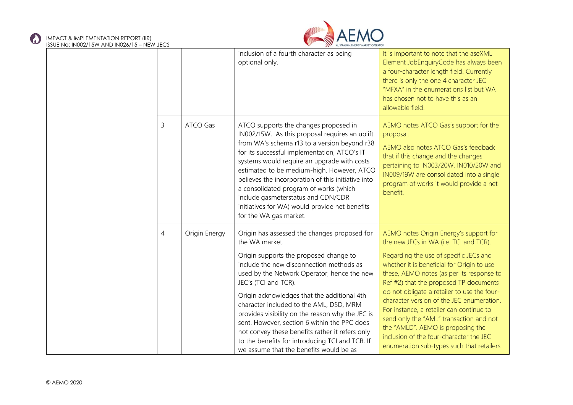$\odot$ 



| 026/15 – NEW JECS |                |               | AUSTRALIAN ENERGY MARKET OPERATOR                                                                                                                                                                                                                                                                                                                                                                                                                                                                                                                                          |                                                                                                                                                                                                                                                                                                                                                                                                                                                                                                                                                                                 |
|-------------------|----------------|---------------|----------------------------------------------------------------------------------------------------------------------------------------------------------------------------------------------------------------------------------------------------------------------------------------------------------------------------------------------------------------------------------------------------------------------------------------------------------------------------------------------------------------------------------------------------------------------------|---------------------------------------------------------------------------------------------------------------------------------------------------------------------------------------------------------------------------------------------------------------------------------------------------------------------------------------------------------------------------------------------------------------------------------------------------------------------------------------------------------------------------------------------------------------------------------|
|                   |                |               | inclusion of a fourth character as being<br>optional only.                                                                                                                                                                                                                                                                                                                                                                                                                                                                                                                 | It is important to note that the aseXML<br>Element JobEnquiryCode has always been<br>a four-character length field. Currently<br>there is only the one 4 character JEC<br>"MFXA" in the enumerations list but WA<br>has chosen not to have this as an<br>allowable field.                                                                                                                                                                                                                                                                                                       |
|                   | 3              | ATCO Gas      | ATCO supports the changes proposed in<br>IN002/15W. As this proposal requires an uplift<br>from WA's schema r13 to a version beyond r38<br>for its successful implementation, ATCO's IT<br>systems would require an upgrade with costs<br>estimated to be medium-high. However, ATCO<br>believes the incorporation of this initiative into<br>a consolidated program of works (which<br>include gasmeterstatus and CDN/CDR<br>initiatives for WA) would provide net benefits<br>for the WA gas market.                                                                     | AEMO notes ATCO Gas's support for the<br>proposal.<br>AEMO also notes ATCO Gas's feedback<br>that if this change and the changes<br>pertaining to IN003/20W, IN010/20W and<br>IN009/19W are consolidated into a single<br>program of works it would provide a net<br>benefit.                                                                                                                                                                                                                                                                                                   |
|                   | $\overline{4}$ | Origin Energy | Origin has assessed the changes proposed for<br>the WA market.<br>Origin supports the proposed change to<br>include the new disconnection methods as<br>used by the Network Operator, hence the new<br>JEC's (TCI and TCR).<br>Origin acknowledges that the additional 4th<br>character included to the AML, DSD, MRM<br>provides visibility on the reason why the JEC is<br>sent. However, section 6 within the PPC does<br>not convey these benefits rather it refers only<br>to the benefits for introducing TCI and TCR. If<br>we assume that the benefits would be as | AEMO notes Origin Energy's support for<br>the new JECs in WA (i.e. TCI and TCR).<br>Regarding the use of specific JECs and<br>whether it is beneficial for Origin to use<br>these, AEMO notes (as per its response to<br>Ref #2) that the proposed TP documents<br>do not obligate a retailer to use the four-<br>character version of the JEC enumeration.<br>For instance, a retailer can continue to<br>send only the "AML" transaction and not<br>the "AMLD". AEMO is proposing the<br>inclusion of the four-character the JEC<br>enumeration sub-types such that retailers |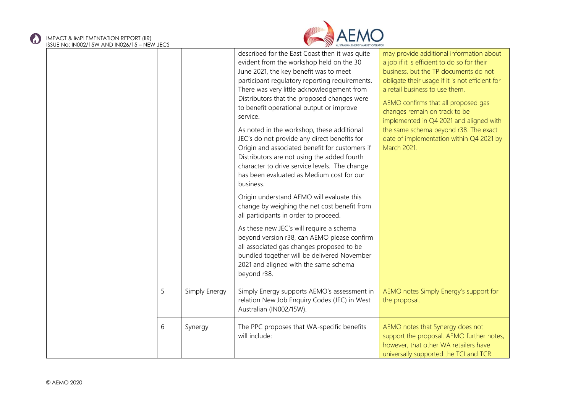# IMPACT & IMPLEMENTATION REPORT (IIR)



| ISSUE No: IN002/15W AND IN026/15 – NEW JECS |   |               | AUSTRALIAN ENERGY MARKET OPERATOR                                                                                                                                                                                                                                                                                                                                                                                                                                                                                                                                                                                                                                                                                                                                                                                                                                                                                                                                                                                                          |                                                                                                                                                                                                                                                                                                                                                                                                                                              |
|---------------------------------------------|---|---------------|--------------------------------------------------------------------------------------------------------------------------------------------------------------------------------------------------------------------------------------------------------------------------------------------------------------------------------------------------------------------------------------------------------------------------------------------------------------------------------------------------------------------------------------------------------------------------------------------------------------------------------------------------------------------------------------------------------------------------------------------------------------------------------------------------------------------------------------------------------------------------------------------------------------------------------------------------------------------------------------------------------------------------------------------|----------------------------------------------------------------------------------------------------------------------------------------------------------------------------------------------------------------------------------------------------------------------------------------------------------------------------------------------------------------------------------------------------------------------------------------------|
|                                             |   |               | described for the East Coast then it was quite<br>evident from the workshop held on the 30<br>June 2021, the key benefit was to meet<br>participant regulatory reporting requirements.<br>There was very little acknowledgement from<br>Distributors that the proposed changes were<br>to benefit operational output or improve<br>service.<br>As noted in the workshop, these additional<br>JEC's do not provide any direct benefits for<br>Origin and associated benefit for customers if<br>Distributors are not using the added fourth<br>character to drive service levels. The change<br>has been evaluated as Medium cost for our<br>business.<br>Origin understand AEMO will evaluate this<br>change by weighing the net cost benefit from<br>all participants in order to proceed.<br>As these new JEC's will require a schema<br>beyond version r38, can AEMO please confirm<br>all associated gas changes proposed to be<br>bundled together will be delivered November<br>2021 and aligned with the same schema<br>beyond r38. | may provide additional information about<br>a job if it is efficient to do so for their<br>business, but the TP documents do not<br>obligate their usage if it is not efficient for<br>a retail business to use them.<br>AEMO confirms that all proposed gas<br>changes remain on track to be<br>implemented in Q4 2021 and aligned with<br>the same schema beyond r38. The exact<br>date of implementation within Q4 2021 by<br>March 2021. |
|                                             | 5 | Simply Energy | Simply Energy supports AEMO's assessment in<br>relation New Job Enquiry Codes (JEC) in West<br>Australian (IN002/15W).                                                                                                                                                                                                                                                                                                                                                                                                                                                                                                                                                                                                                                                                                                                                                                                                                                                                                                                     | AEMO notes Simply Energy's support for<br>the proposal.                                                                                                                                                                                                                                                                                                                                                                                      |
|                                             | 6 | Synergy       | The PPC proposes that WA-specific benefits<br>will include:                                                                                                                                                                                                                                                                                                                                                                                                                                                                                                                                                                                                                                                                                                                                                                                                                                                                                                                                                                                | AEMO notes that Synergy does not<br>support the proposal. AEMO further notes,<br>however, that other WA retailers have<br>universally supported the TCI and TCR                                                                                                                                                                                                                                                                              |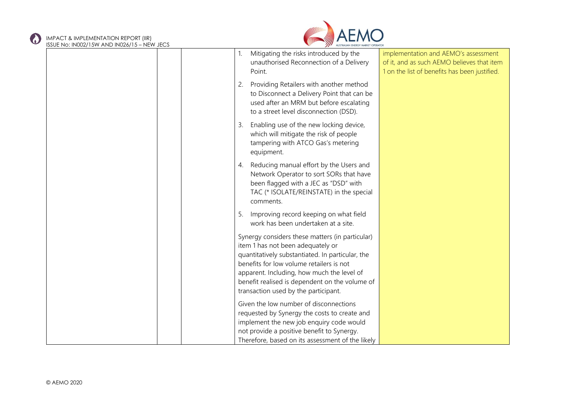C.



| <b>ISSUE INO. INUUZ/ ISVY AND INUZO/ IS - NEVY JECS</b> |                                                                                                                                                                                                                                                                                                                              |                                                                                                                                     |
|---------------------------------------------------------|------------------------------------------------------------------------------------------------------------------------------------------------------------------------------------------------------------------------------------------------------------------------------------------------------------------------------|-------------------------------------------------------------------------------------------------------------------------------------|
|                                                         | Mitigating the risks introduced by the<br>1.<br>unauthorised Reconnection of a Delivery<br>Point.                                                                                                                                                                                                                            | implementation and AEMO's assessment<br>of it, and as such AEMO believes that item<br>1 on the list of benefits has been justified. |
|                                                         | Providing Retailers with another method<br>2.<br>to Disconnect a Delivery Point that can be<br>used after an MRM but before escalating<br>to a street level disconnection (DSD).                                                                                                                                             |                                                                                                                                     |
|                                                         | Enabling use of the new locking device,<br>3.<br>which will mitigate the risk of people<br>tampering with ATCO Gas's metering<br>equipment.                                                                                                                                                                                  |                                                                                                                                     |
|                                                         | 4. Reducing manual effort by the Users and<br>Network Operator to sort SORs that have<br>been flagged with a JEC as "DSD" with<br>TAC (* ISOLATE/REINSTATE) in the special<br>comments.                                                                                                                                      |                                                                                                                                     |
|                                                         | Improving record keeping on what field<br>5.<br>work has been undertaken at a site.                                                                                                                                                                                                                                          |                                                                                                                                     |
|                                                         | Synergy considers these matters (in particular)<br>item 1 has not been adequately or<br>quantitatively substantiated. In particular, the<br>benefits for low volume retailers is not<br>apparent. Including, how much the level of<br>benefit realised is dependent on the volume of<br>transaction used by the participant. |                                                                                                                                     |
|                                                         | Given the low number of disconnections<br>requested by Synergy the costs to create and<br>implement the new job enquiry code would<br>not provide a positive benefit to Synergy.<br>Therefore, based on its assessment of the likely                                                                                         |                                                                                                                                     |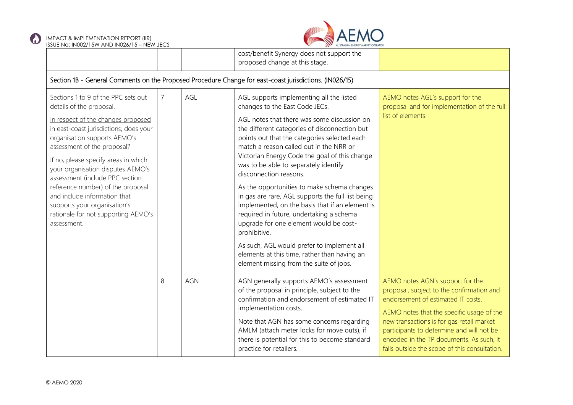



| <b>SSULTIO: INOUZITUM AND INOZOITU - INLIMITUCS</b>                                                                                                                                                                                                                                                                                                                                                                                                                                       |                                                                                                         |            | cost/benefit Synergy does not support the<br>proposed change at this stage.                                                                                                                                                                                                                                                                                                                                                                                                                                                                                                                                                                                                                                                                                                                     |                                                                                                                                                                                                                                                                                                                                                         |  |  |  |
|-------------------------------------------------------------------------------------------------------------------------------------------------------------------------------------------------------------------------------------------------------------------------------------------------------------------------------------------------------------------------------------------------------------------------------------------------------------------------------------------|---------------------------------------------------------------------------------------------------------|------------|-------------------------------------------------------------------------------------------------------------------------------------------------------------------------------------------------------------------------------------------------------------------------------------------------------------------------------------------------------------------------------------------------------------------------------------------------------------------------------------------------------------------------------------------------------------------------------------------------------------------------------------------------------------------------------------------------------------------------------------------------------------------------------------------------|---------------------------------------------------------------------------------------------------------------------------------------------------------------------------------------------------------------------------------------------------------------------------------------------------------------------------------------------------------|--|--|--|
|                                                                                                                                                                                                                                                                                                                                                                                                                                                                                           | Section 1B - General Comments on the Proposed Procedure Change for east-coast jurisdictions. (IN026/15) |            |                                                                                                                                                                                                                                                                                                                                                                                                                                                                                                                                                                                                                                                                                                                                                                                                 |                                                                                                                                                                                                                                                                                                                                                         |  |  |  |
| Sections 1 to 9 of the PPC sets out<br>details of the proposal.<br>In respect of the changes proposed<br>in east-coast jurisdictions, does your<br>organisation supports AEMO's<br>assessment of the proposal?<br>If no, please specify areas in which<br>your organisation disputes AEMO's<br>assessment (include PPC section<br>reference number) of the proposal<br>and include information that<br>supports your organisation's<br>rationale for not supporting AEMO's<br>assessment. | AGL<br>7                                                                                                |            | AGL supports implementing all the listed<br>changes to the East Code JECs.<br>AGL notes that there was some discussion on<br>the different categories of disconnection but<br>points out that the categories selected each<br>match a reason called out in the NRR or<br>Victorian Energy Code the goal of this change<br>was to be able to separately identify<br>disconnection reasons.<br>As the opportunities to make schema changes<br>in gas are rare, AGL supports the full list being<br>implemented, on the basis that if an element is<br>required in future, undertaking a schema<br>upgrade for one element would be cost-<br>prohibitive.<br>As such, AGL would prefer to implement all<br>elements at this time, rather than having an<br>element missing from the suite of jobs. | AEMO notes AGL's support for the<br>proposal and for implementation of the full<br>list of elements.                                                                                                                                                                                                                                                    |  |  |  |
|                                                                                                                                                                                                                                                                                                                                                                                                                                                                                           | 8                                                                                                       | <b>AGN</b> | AGN generally supports AEMO's assessment<br>of the proposal in principle, subject to the<br>confirmation and endorsement of estimated IT<br>implementation costs.<br>Note that AGN has some concerns regarding<br>AMLM (attach meter locks for move outs), if<br>there is potential for this to become standard<br>practice for retailers.                                                                                                                                                                                                                                                                                                                                                                                                                                                      | AEMO notes AGN's support for the<br>proposal, subject to the confirmation and<br>endorsement of estimated IT costs.<br>AEMO notes that the specific usage of the<br>new transactions is for gas retail market<br>participants to determine and will not be<br>encoded in the TP documents. As such, it<br>falls outside the scope of this consultation. |  |  |  |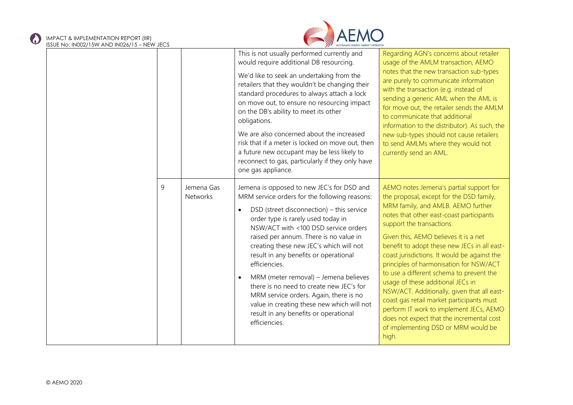# IMPACT & IMPLEMENTATION REPORT (IIR)



| ISSUE No: IN002/15W AND IN026/15 – NEW JECS |   |                               | AUSTRALIAN ENERGY MARKET OPERATOR                                                                                                                                                                                                                                                                                                                                                                                                                                                                                                                                                                            |                                                                                                                                                                                                                                                                                                                                                                                                                                                                                                                                                                                                                                                                                                             |
|---------------------------------------------|---|-------------------------------|--------------------------------------------------------------------------------------------------------------------------------------------------------------------------------------------------------------------------------------------------------------------------------------------------------------------------------------------------------------------------------------------------------------------------------------------------------------------------------------------------------------------------------------------------------------------------------------------------------------|-------------------------------------------------------------------------------------------------------------------------------------------------------------------------------------------------------------------------------------------------------------------------------------------------------------------------------------------------------------------------------------------------------------------------------------------------------------------------------------------------------------------------------------------------------------------------------------------------------------------------------------------------------------------------------------------------------------|
|                                             |   |                               | This is not usually performed currently and<br>would require additional DB resourcing.<br>We'd like to seek an undertaking from the<br>retailers that they wouldn't be changing their<br>standard procedures to always attach a lock<br>on move out, to ensure no resourcing impact<br>on the DB's ability to meet its other<br>obligations.<br>We are also concerned about the increased<br>risk that if a meter is locked on move out, then<br>a future new occupant may be less likely to<br>reconnect to gas, particularly if they only have<br>one gas appliance.                                       | Regarding AGN's concerns about retailer<br>usage of the AMLM transaction, AEMO<br>notes that the new transaction sub-types<br>are purely to communicate information<br>with the transaction (e.g. instead of<br>sending a generic AML when the AML is<br>for move out, the retailer sends the AMLM<br>to communicate that additional<br>information to the distributor). As such, the<br>new sub-types should not cause retailers<br>to send AMLMs where they would not<br>currently send an AML.                                                                                                                                                                                                           |
|                                             | 9 | Jemena Gas<br><b>Networks</b> | Jemena is opposed to new JEC's for DSD and<br>MRM service orders for the following reasons:<br>DSD (street disconnection) - this service<br>order type is rarely used today in<br>NSW/ACT with <100 DSD service orders<br>raised per annum. There is no value in<br>creating these new JEC's which will not<br>result in any benefits or operational<br>efficiencies.<br>MRM (meter removal) - Jemena believes<br>there is no need to create new JEC's for<br>MRM service orders. Again, there is no<br>value in creating these new which will not<br>result in any benefits or operational<br>efficiencies. | AEMO notes Jemena's partial support for<br>the proposal, except for the DSD family,<br>MRM family, and AMLB. AEMO further<br>notes that other east-coast participants<br>support the transactions.<br>Given this, AEMO believes it is a net<br>benefit to adopt these new JECs in all east-<br>coast jurisdictions. It would be against the<br>principles of harmonisation for NSW/ACT<br>to use a different schema to prevent the<br>usage of these additional JECs in<br>NSW/ACT. Additionally, given that all east-<br>coast gas retail market participants must<br>perform IT work to implement JECs, AEMO<br>does not expect that the incremental cost<br>of implementing DSD or MRM would be<br>high. |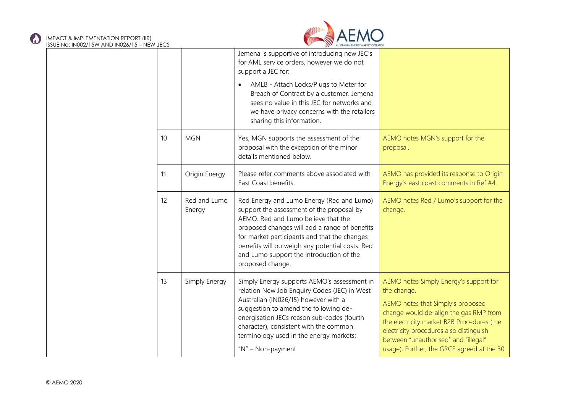$\odot$ 



| IN026/15 – NEW JECS |    |                        | AUSTRALIAN ENERGY MARKET OPERATOR                                                                                                                                                                                                                                                                                                                 |                                                                                                                                                                                                                                                                                                                     |
|---------------------|----|------------------------|---------------------------------------------------------------------------------------------------------------------------------------------------------------------------------------------------------------------------------------------------------------------------------------------------------------------------------------------------|---------------------------------------------------------------------------------------------------------------------------------------------------------------------------------------------------------------------------------------------------------------------------------------------------------------------|
|                     |    |                        | Jemena is supportive of introducing new JEC's<br>for AML service orders, however we do not<br>support a JEC for:                                                                                                                                                                                                                                  |                                                                                                                                                                                                                                                                                                                     |
|                     |    |                        | AMLB - Attach Locks/Plugs to Meter for<br>Breach of Contract by a customer. Jemena<br>sees no value in this JEC for networks and<br>we have privacy concerns with the retailers<br>sharing this information.                                                                                                                                      |                                                                                                                                                                                                                                                                                                                     |
|                     | 10 | <b>MGN</b>             | Yes, MGN supports the assessment of the<br>proposal with the exception of the minor<br>details mentioned below.                                                                                                                                                                                                                                   | AEMO notes MGN's support for the<br>proposal.                                                                                                                                                                                                                                                                       |
|                     | 11 | Origin Energy          | Please refer comments above associated with<br>East Coast benefits.                                                                                                                                                                                                                                                                               | AEMO has provided its response to Origin<br>Energy's east coast comments in Ref #4.                                                                                                                                                                                                                                 |
|                     | 12 | Red and Lumo<br>Energy | Red Energy and Lumo Energy (Red and Lumo)<br>support the assessment of the proposal by<br>AEMO. Red and Lumo believe that the<br>proposed changes will add a range of benefits<br>for market participants and that the changes<br>benefits will outweigh any potential costs. Red<br>and Lumo support the introduction of the<br>proposed change. | AEMO notes Red / Lumo's support for the<br>change.                                                                                                                                                                                                                                                                  |
|                     | 13 | Simply Energy          | Simply Energy supports AEMO's assessment in<br>relation New Job Enquiry Codes (JEC) in West<br>Australian (IN026/15) however with a<br>suggestion to amend the following de-<br>energisation JECs reason sub-codes (fourth<br>character), consistent with the common<br>terminology used in the energy markets:<br>"N" - Non-payment              | AEMO notes Simply Energy's support for<br>the change.<br>AEMO notes that Simply's proposed<br>change would de-align the gas RMP from<br>the electricity market B2B Procedures (the<br>electricity procedures also distinguish<br>between "unauthorised" and "illegal"<br>usage). Further, the GRCF agreed at the 30 |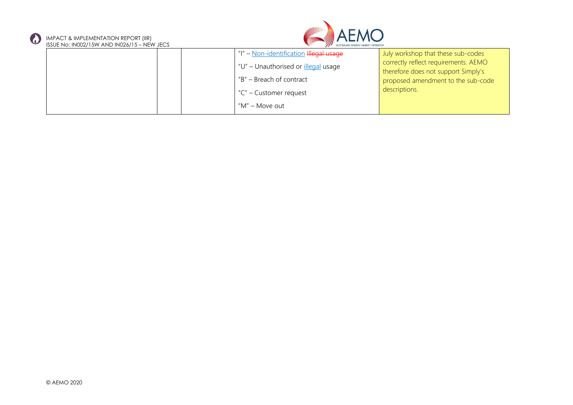



| <b>USSUE INC. IINUZZ/ IS MY AIN LINUZO/ IS HINE MY SECS</b> | <b>AND MODIFICATE ENTROL MANUFACTION CONTION</b> |                                      |
|-------------------------------------------------------------|--------------------------------------------------|--------------------------------------|
|                                                             | "I" - Non-identification Illegal usage           | July workshop that these sub-codes   |
|                                                             | "U" - Unauthorised or <i>illegal</i> usage       | correctly reflect requirements. AEMO |
|                                                             |                                                  | therefore does not support Simply's  |
|                                                             | "B" – Breach of contract                         | proposed amendment to the sub-code   |
|                                                             | "C" – Customer request                           | descriptions.                        |
|                                                             | "M" – Move out                                   |                                      |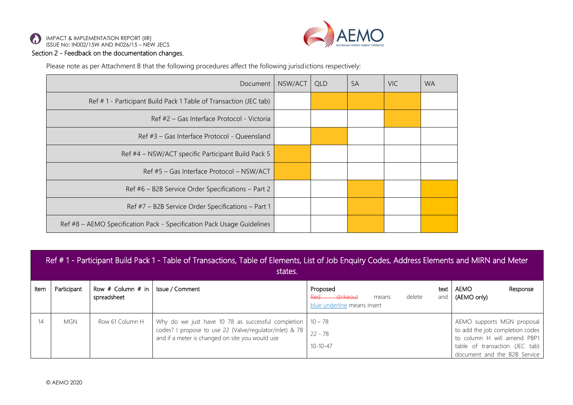



Please note as per Attachment B that the following procedures affect the following jurisdictions respectively:

| Document                                                               | NSW/ACT | <b>QLD</b> | <b>SA</b> | VIC. | <b>WA</b> |
|------------------------------------------------------------------------|---------|------------|-----------|------|-----------|
| Ref #1 - Participant Build Pack 1 Table of Transaction (JEC tab)       |         |            |           |      |           |
| Ref #2 – Gas Interface Protocol - Victoria                             |         |            |           |      |           |
| Ref #3 – Gas Interface Protocol - Queensland                           |         |            |           |      |           |
| Ref #4 – NSW/ACT specific Participant Build Pack 5                     |         |            |           |      |           |
| Ref #5 - Gas Interface Protocol - NSW/ACT                              |         |            |           |      |           |
| Ref #6 - B2B Service Order Specifications - Part 2                     |         |            |           |      |           |
| Ref #7 - B2B Service Order Specifications - Part 1                     |         |            |           |      |           |
| Ref #8 – AEMO Specification Pack - Specification Pack Usage Guidelines |         |            |           |      |           |

|      | Ref #1 - Participant Build Pack 1 - Table of Transactions, Table of Elements, List of Job Enguiry Codes, Address Elements and MIRN and Meter<br>states. |                                      |                                                                                                                                                                  |                                                                                                    |                                                                                                                                                                |  |  |  |  |
|------|---------------------------------------------------------------------------------------------------------------------------------------------------------|--------------------------------------|------------------------------------------------------------------------------------------------------------------------------------------------------------------|----------------------------------------------------------------------------------------------------|----------------------------------------------------------------------------------------------------------------------------------------------------------------|--|--|--|--|
| ltem | Participant                                                                                                                                             | Row $#$ Column $#$ in<br>spreadsheet | Issue / Comment                                                                                                                                                  | Proposed<br>text<br>delete<br><del>-strikeout</del><br>and<br>means<br>blue underline means insert | AEMO<br>Response<br>(AEMO only)                                                                                                                                |  |  |  |  |
| 14   | <b>MGN</b>                                                                                                                                              | Row 61 Column H                      | Why do we just have 10 78 as successful completion<br>codes? I propose to use 22 (Valve/regulator/inlet) & 78<br>and if a meter is changed on site you would use | $10 - 78$<br>$22 - 78$<br>$10 - 10 - 47$                                                           | AEMO supports MGN proposal<br>to add the job completion codes<br>to column H will amend PBP1<br>table of transaction (JEC tab)<br>document and the B2B Service |  |  |  |  |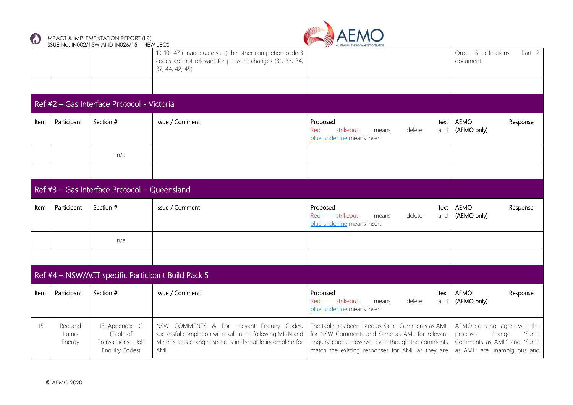



|      |                           | 1990 L TYO: 11 YOUZ / TO FF / VIND THYOZO / TO THE FF JECS                   | 10-10-47 (inadequate size) the other completion code 3<br>codes are not relevant for pressure changes (31, 33, 34,<br>37, 44, 42, 45)                                         | $\overline{\phantom{a}}$                                                                                                                                                                                  | Order Specifications - Part 2<br>document                                                                                 |
|------|---------------------------|------------------------------------------------------------------------------|-------------------------------------------------------------------------------------------------------------------------------------------------------------------------------|-----------------------------------------------------------------------------------------------------------------------------------------------------------------------------------------------------------|---------------------------------------------------------------------------------------------------------------------------|
|      |                           |                                                                              |                                                                                                                                                                               |                                                                                                                                                                                                           |                                                                                                                           |
|      |                           | Ref #2 - Gas Interface Protocol - Victoria                                   |                                                                                                                                                                               |                                                                                                                                                                                                           |                                                                                                                           |
| Item | Participant               | Section #                                                                    | Issue / Comment                                                                                                                                                               | Proposed<br>text<br>Red strikeout<br>delete<br>and<br>means<br>blue underline means insert                                                                                                                | <b>AEMO</b><br>Response<br>(AEMO only)                                                                                    |
|      |                           | n/a                                                                          |                                                                                                                                                                               |                                                                                                                                                                                                           |                                                                                                                           |
|      |                           |                                                                              |                                                                                                                                                                               |                                                                                                                                                                                                           |                                                                                                                           |
|      |                           | Ref #3 - Gas Interface Protocol - Queensland                                 |                                                                                                                                                                               |                                                                                                                                                                                                           |                                                                                                                           |
| Item | Participant               | Section #                                                                    | Issue / Comment                                                                                                                                                               | Proposed<br>text<br>Red strikeout<br>delete<br>means<br>and<br>blue underline means insert                                                                                                                | <b>AEMO</b><br>Response<br>(AEMO only)                                                                                    |
|      |                           | n/a                                                                          |                                                                                                                                                                               |                                                                                                                                                                                                           |                                                                                                                           |
|      |                           |                                                                              |                                                                                                                                                                               |                                                                                                                                                                                                           |                                                                                                                           |
|      |                           | Ref #4 - NSW/ACT specific Participant Build Pack 5                           |                                                                                                                                                                               |                                                                                                                                                                                                           |                                                                                                                           |
| Item | Participant               | Section #                                                                    | Issue / Comment                                                                                                                                                               | Proposed<br>text<br>Red strikeout<br>delete<br>and<br>means<br>blue underline means insert                                                                                                                | <b>AEMO</b><br>Response<br>(AEMO only)                                                                                    |
| 15   | Red and<br>Lumo<br>Energy | 13. Appendix - G<br>(Table of<br>Transactions - Job<br><b>Enquiry Codes)</b> | NSW COMMENTS & For relevant Enquiry Codes,<br>successful completion will result in the following MIRN and<br>Meter status changes sections in the table incomplete for<br>AML | The table has been listed as Same Comments as AML<br>for NSW Comments and Same as AML for relevant<br>enquiry codes. However even though the comments<br>match the existing responses for AML as they are | AEMO does not agree with the<br>proposed<br>change.<br>"Same<br>Comments as AML" and "Same<br>as AML" are unambiguous and |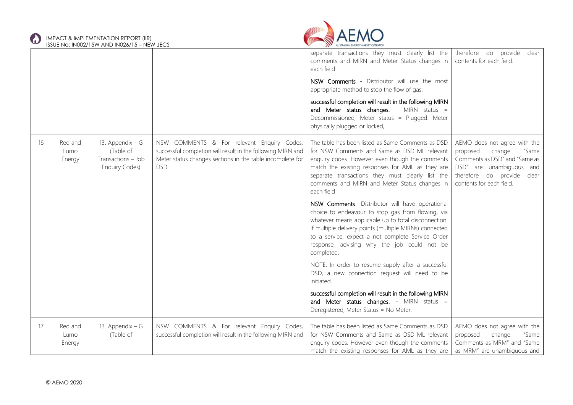



|    |                           |                                                                               |                                                                                                                                                                                      | separate transactions they must clearly list the<br>comments and MIRN and Meter Status changes in<br>each field                                                                                                                                                                                                                          | therefore do provide clear<br>contents for each field.                                                                                                                              |
|----|---------------------------|-------------------------------------------------------------------------------|--------------------------------------------------------------------------------------------------------------------------------------------------------------------------------------|------------------------------------------------------------------------------------------------------------------------------------------------------------------------------------------------------------------------------------------------------------------------------------------------------------------------------------------|-------------------------------------------------------------------------------------------------------------------------------------------------------------------------------------|
|    |                           |                                                                               |                                                                                                                                                                                      | NSW Comments - Distributor will use the most<br>appropriate method to stop the flow of gas.                                                                                                                                                                                                                                              |                                                                                                                                                                                     |
|    |                           |                                                                               |                                                                                                                                                                                      | successful completion will result in the following MIRN<br>and Meter status changes. - MIRN status =<br>Decommissioned, Meter status = Plugged. Meter<br>physically plugged or locked,                                                                                                                                                   |                                                                                                                                                                                     |
| 16 | Red and<br>Lumo<br>Energy | 13. Appendix $-G$<br>(Table of<br>Transactions - Job<br><b>Enquiry Codes)</b> | NSW COMMENTS & For relevant Enquiry Codes,<br>successful completion will result in the following MIRN and<br>Meter status changes sections in the table incomplete for<br><b>DSD</b> | The table has been listed as Same Comments as DSD<br>for NSW Comments and Same as DSD ML relevant<br>enquiry codes. However even though the comments<br>match the existing responses for AML as they are<br>separate transactions they must clearly list the<br>comments and MIRN and Meter Status changes in<br>each field              | AEMO does not agree with the<br>proposed<br>change.<br>"Same<br>Comments as DSD" and "Same as<br>DSD" are unambiguous and<br>therefore do provide clear<br>contents for each field. |
|    |                           |                                                                               |                                                                                                                                                                                      | NSW Comments -Distributor will have operational<br>choice to endeavour to stop gas from flowing, via<br>whatever means applicable up to total disconnection.<br>If multiple delivery points (multiple MIRNs) connected<br>to a service, expect a not complete Service Order<br>response, advising why the job could not be<br>completed. |                                                                                                                                                                                     |
|    |                           |                                                                               |                                                                                                                                                                                      | NOTE: In order to resume supply after a successful<br>DSD, a new connection request will need to be<br>initiated.                                                                                                                                                                                                                        |                                                                                                                                                                                     |
|    |                           |                                                                               |                                                                                                                                                                                      | successful completion will result in the following MIRN<br>and Meter status changes. - MIRN status =<br>Deregistered, Meter Status = No Meter.                                                                                                                                                                                           |                                                                                                                                                                                     |
| 17 | Red and<br>Lumo<br>Energy | 13. Appendix $-$ G<br>(Table of                                               | NSW COMMENTS & For relevant Enquiry Codes,<br>successful completion will result in the following MIRN and                                                                            | The table has been listed as Same Comments as DSD<br>for NSW Comments and Same as DSD ML relevant<br>enquiry codes. However even though the comments<br>match the existing responses for AML as they are                                                                                                                                 | AEMO does not agree with the<br>proposed<br>change.<br>"Same<br>Comments as MRM" and "Same<br>as MRM" are unambiguous and                                                           |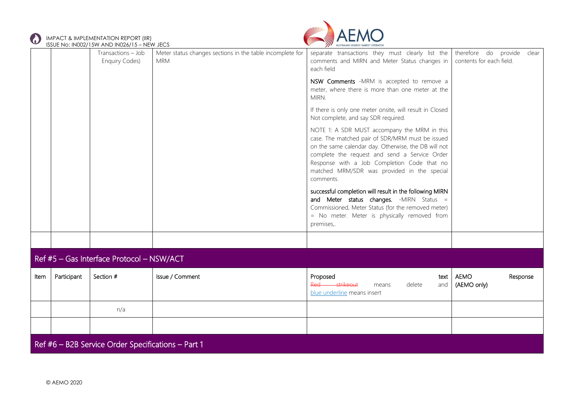

## IMPACT & IMPLEMENTATION REPORT (IIR)



|      |             | ISSUE No: IN002/15W AND IN026/15 – NEW JECS        |                                                                         | AUSTRALIAN ENERGY MARKET OPERATOR                                                                                                                                                                                                                                                                                    |                                                        |  |
|------|-------------|----------------------------------------------------|-------------------------------------------------------------------------|----------------------------------------------------------------------------------------------------------------------------------------------------------------------------------------------------------------------------------------------------------------------------------------------------------------------|--------------------------------------------------------|--|
|      |             | Transactions - Job<br><b>Enquiry Codes)</b>        | Meter status changes sections in the table incomplete for<br><b>MRM</b> | separate transactions they must clearly list the<br>comments and MIRN and Meter Status changes in<br>each field                                                                                                                                                                                                      | therefore do provide clear<br>contents for each field. |  |
|      |             |                                                    |                                                                         | NSW Comments -MRM is accepted to remove a<br>meter, where there is more than one meter at the<br>MIRN.                                                                                                                                                                                                               |                                                        |  |
|      |             |                                                    |                                                                         | If there is only one meter onsite, will result in Closed<br>Not complete, and say SDR required.                                                                                                                                                                                                                      |                                                        |  |
|      |             |                                                    |                                                                         | NOTE 1: A SDR MUST accompany the MRM in this<br>case. The matched pair of SDR/MRM must be issued<br>on the same calendar day. Otherwise, the DB will not<br>complete the request and send a Service Order<br>Response with a Job Completion Code that no<br>matched MRM/SDR was provided in the special<br>comments. |                                                        |  |
|      |             |                                                    |                                                                         | successful completion will result in the following MIRN<br>and Meter status changes. - MIRN Status =<br>Commissioned, Meter Status (for the removed meter)<br>= No meter. Meter is physically removed from<br>premises,.                                                                                             |                                                        |  |
|      |             |                                                    |                                                                         |                                                                                                                                                                                                                                                                                                                      |                                                        |  |
|      |             | Ref #5 - Gas Interface Protocol - NSW/ACT          |                                                                         |                                                                                                                                                                                                                                                                                                                      |                                                        |  |
| Item | Participant | Section #                                          | Issue / Comment                                                         | Proposed<br>text<br>Red strikeout<br>delete<br>means<br>and<br>blue underline means insert                                                                                                                                                                                                                           | <b>AEMO</b><br>Response<br>(AEMO only)                 |  |
|      |             | n/a                                                |                                                                         |                                                                                                                                                                                                                                                                                                                      |                                                        |  |
|      |             |                                                    |                                                                         |                                                                                                                                                                                                                                                                                                                      |                                                        |  |
|      |             | Ref #6 - B2B Service Order Specifications - Part 1 |                                                                         |                                                                                                                                                                                                                                                                                                                      |                                                        |  |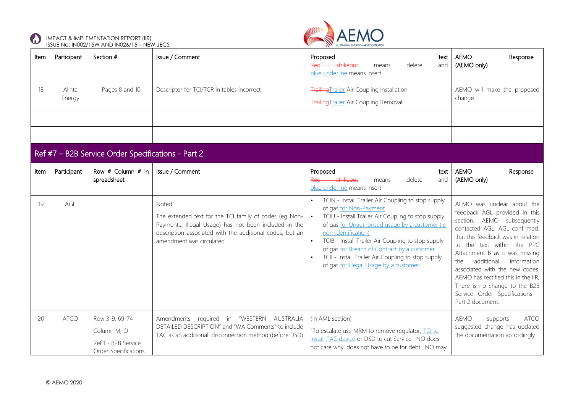



| Item | Participant                                        | Section #                                                                    | Issue / Comment                                                                                                                                                                                                 | Proposed<br>text<br>Red strikeout<br>delete<br>and<br>means<br>blue underline means insert                                                                                                                                                                                                                                                                                                                                     | <b>AEMO</b><br>Response<br>(AEMO only)                                                                                                                                                                                                                                                                                                                                                                                               |  |  |  |  |  |
|------|----------------------------------------------------|------------------------------------------------------------------------------|-----------------------------------------------------------------------------------------------------------------------------------------------------------------------------------------------------------------|--------------------------------------------------------------------------------------------------------------------------------------------------------------------------------------------------------------------------------------------------------------------------------------------------------------------------------------------------------------------------------------------------------------------------------|--------------------------------------------------------------------------------------------------------------------------------------------------------------------------------------------------------------------------------------------------------------------------------------------------------------------------------------------------------------------------------------------------------------------------------------|--|--|--|--|--|
| 18   | Alinta<br>Energy                                   | Pages 8 and 10                                                               | Descriptor for TCI/TCR in tables incorrect                                                                                                                                                                      | <b>Trailing Trailer Air Coupling Installation</b><br><b>Trailing Trailer Air Coupling Removal</b>                                                                                                                                                                                                                                                                                                                              | AEMO will make the proposed<br>change.                                                                                                                                                                                                                                                                                                                                                                                               |  |  |  |  |  |
|      |                                                    |                                                                              |                                                                                                                                                                                                                 |                                                                                                                                                                                                                                                                                                                                                                                                                                |                                                                                                                                                                                                                                                                                                                                                                                                                                      |  |  |  |  |  |
|      |                                                    |                                                                              |                                                                                                                                                                                                                 |                                                                                                                                                                                                                                                                                                                                                                                                                                |                                                                                                                                                                                                                                                                                                                                                                                                                                      |  |  |  |  |  |
|      | Ref #7 - B2B Service Order Specifications - Part 2 |                                                                              |                                                                                                                                                                                                                 |                                                                                                                                                                                                                                                                                                                                                                                                                                |                                                                                                                                                                                                                                                                                                                                                                                                                                      |  |  |  |  |  |
| Item | Participant                                        | Row $#$ Column $#$ in<br>spreadsheet                                         | Issue / Comment                                                                                                                                                                                                 | Proposed<br>text<br>Red strikeout<br>delete<br>and<br>means<br>blue underline means insert                                                                                                                                                                                                                                                                                                                                     | <b>AEMO</b><br>Response<br>(AEMO only)                                                                                                                                                                                                                                                                                                                                                                                               |  |  |  |  |  |
| 19   | AGL                                                |                                                                              | Noted<br>The extended text for the TCI family of codes (eg Non-<br>Payment Illegal Usage) has not been included in the<br>description associated with the additional codes, but an<br>amendment was circulated. | TCIN - Install Trailer Air Coupling to stop supply<br>$\bullet$<br>of gas for Non-Payment<br>TCIU - Install Trailer Air Coupling to stop supply<br>of gas for Unauthorised usage by a customer (ie<br>non-identification)<br>TCIB - Install Trailer Air Coupling to stop supply<br>of gas for Breach of Contract by a customer<br>TCII - Install Trailer Air Coupling to stop supply<br>of gas for Illegal Usage by a customer | AEMO was unclear about the<br>feedback AGL provided in this<br>section. AEMO subsequently<br>contacted AGL. AGL confirmed,<br>that this feedback was in relation<br>to the text within the PPC<br>Attachment B as it was missing<br>additional<br>information<br>the<br>associated with the new codes.<br>AEMO has rectified this in the IIR,<br>There is no change to the B2B<br>Service Order Specifications -<br>Part 2 document. |  |  |  |  |  |
| 20   | <b>ATCO</b>                                        | Row 3-9, 69-74<br>Column M, O<br>Ref 1 - B2B Service<br>Order Specifications | Amendments required in "WESTERN AUSTRALIA<br>DETAILED DESCRIPTION" and "WA Comments" to include<br>TAC as an additional disconnection method (before DSD)                                                       | (In AML section)<br>"To escalate use MRM to remove regulator, TCI to<br>install TAC device or DSD to cut Service. NO does<br>not care why, does not have to be for debt. NO may                                                                                                                                                                                                                                                | AEMO<br><b>ATCO</b><br>supports<br>suggested change has updated<br>the documentation accordingly                                                                                                                                                                                                                                                                                                                                     |  |  |  |  |  |